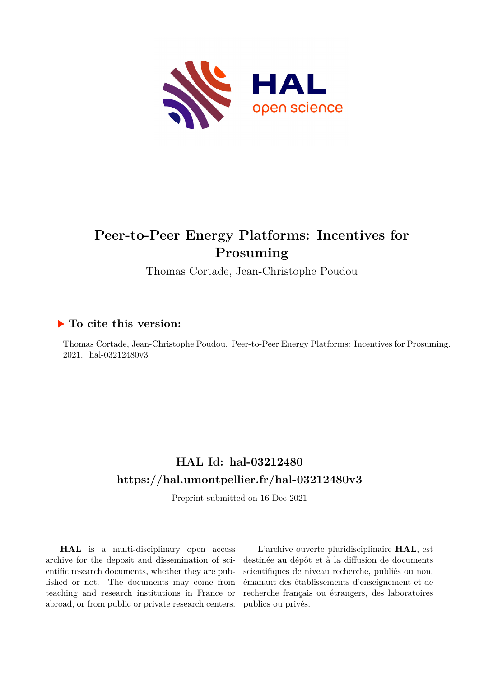

# **Peer-to-Peer Energy Platforms: Incentives for Prosuming**

Thomas Cortade, Jean-Christophe Poudou

### **To cite this version:**

Thomas Cortade, Jean-Christophe Poudou. Peer-to-Peer Energy Platforms: Incentives for Prosuming. 2021. hal-03212480v3

# **HAL Id: hal-03212480 <https://hal.umontpellier.fr/hal-03212480v3>**

Preprint submitted on 16 Dec 2021

**HAL** is a multi-disciplinary open access archive for the deposit and dissemination of scientific research documents, whether they are published or not. The documents may come from teaching and research institutions in France or abroad, or from public or private research centers.

L'archive ouverte pluridisciplinaire **HAL**, est destinée au dépôt et à la diffusion de documents scientifiques de niveau recherche, publiés ou non, émanant des établissements d'enseignement et de recherche français ou étrangers, des laboratoires publics ou privés.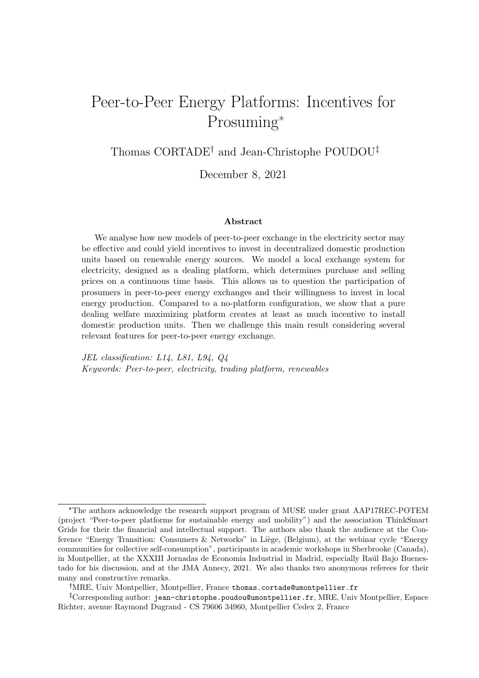# Peer-to-Peer Energy Platforms: Incentives for Prosuming\*

Thomas  $CORTABLE<sup>†</sup>$  and Jean-Christophe POUDOU<sup>‡</sup>

December 8, 2021

#### Abstract

We analyse how new models of peer-to-peer exchange in the electricity sector may be effective and could yield incentives to invest in decentralized domestic production units based on renewable energy sources. We model a local exchange system for electricity, designed as a dealing platform, which determines purchase and selling prices on a continuous time basis. This allows us to question the participation of prosumers in peer-to-peer energy exchanges and their willingness to invest in local energy production. Compared to a no-platform configuration, we show that a pure dealing welfare maximizing platform creates at least as much incentive to install domestic production units. Then we challenge this main result considering several relevant features for peer-to-peer energy exchange.

JEL classification: L14, L81, L94, Q4 Keywords: Peer-to-peer, electricity, trading platform, renewables

<sup>\*</sup>The authors acknowledge the research support program of MUSE under grant AAP17REC-POTEM (project "Peer-to-peer platforms for sustainable energy and mobility") and the association ThinkSmart Grids for their the financial and intellectual support. The authors also thank the audience at the Conference "Energy Transition: Consumers & Networks" in Liège, (Belgium), at the webinar cycle "Energy communities for collective self-consumption", participants in academic workshops in Sherbrooke (Canada), in Montpellier, at the XXXIII Jornadas de Economia Industrial in Madrid, especially Raúl Bajo Buenestado for his discussion, and at the JMA Annecy, 2021. We also thanks two anonymous referees for their many and constructive remarks.

MRE, Univ Montpellier, Montpellier, France thomas.cortade@umontpellier.fr

Corresponding author: jean-christophe.poudou@umontpellier.fr, MRE, Univ Montpellier, Espace Richter, avenue Raymond Dugrand - CS 79606 34960, Montpellier Cedex 2, France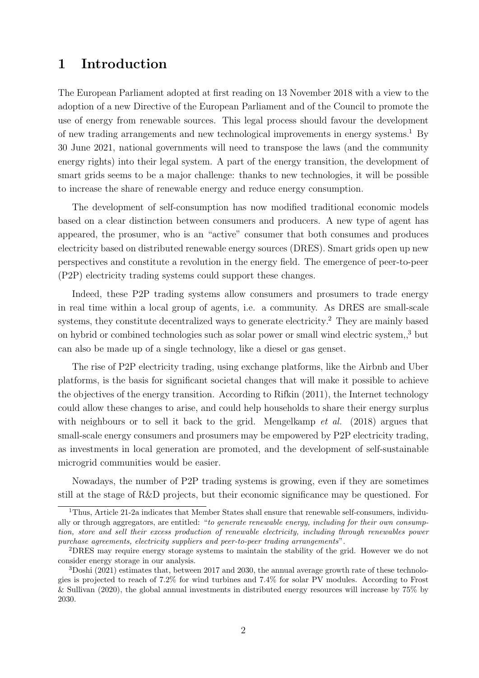## 1 Introduction

The European Parliament adopted at first reading on 13 November 2018 with a view to the adoption of a new Directive of the European Parliament and of the Council to promote the use of energy from renewable sources. This legal process should favour the development of new trading arrangements and new technological improvements in energy systems.<sup>1</sup> By 30 June 2021, national governments will need to transpose the laws (and the community energy rights) into their legal system. A part of the energy transition, the development of smart grids seems to be a major challenge: thanks to new technologies, it will be possible to increase the share of renewable energy and reduce energy consumption.

The development of self-consumption has now modified traditional economic models based on a clear distinction between consumers and producers. A new type of agent has appeared, the prosumer, who is an "active" consumer that both consumes and produces electricity based on distributed renewable energy sources (DRES). Smart grids open up new perspectives and constitute a revolution in the energy field. The emergence of peer-to-peer (P2P) electricity trading systems could support these changes.

Indeed, these P2P trading systems allow consumers and prosumers to trade energy in real time within a local group of agents, i.e. a community. As DRES are small-scale systems, they constitute decentralized ways to generate electricity.<sup>2</sup> They are mainly based on hybrid or combined technologies such as solar power or small wind electric system,,<sup>3</sup> but can also be made up of a single technology, like a diesel or gas genset.

The rise of P2P electricity trading, using exchange platforms, like the Airbnb and Uber platforms, is the basis for significant societal changes that will make it possible to achieve the objectives of the energy transition. According to Rifkin (2011), the Internet technology could allow these changes to arise, and could help households to share their energy surplus with neighbours or to sell it back to the grid. Mengelkamp *et al.* (2018) argues that small-scale energy consumers and prosumers may be empowered by P2P electricity trading, as investments in local generation are promoted, and the development of self-sustainable microgrid communities would be easier.

Nowadays, the number of P2P trading systems is growing, even if they are sometimes still at the stage of R&D projects, but their economic significance may be questioned. For

<sup>&</sup>lt;sup>1</sup>Thus, Article 21-2a indicates that Member States shall ensure that renewable self-consumers, individually or through aggregators, are entitled: "to generate renewable energy, including for their own consumption, store and sell their excess production of renewable electricity, including through renewables power purchase agreements, electricity suppliers and peer-to-peer trading arrangements".

<sup>2</sup>DRES may require energy storage systems to maintain the stability of the grid. However we do not consider energy storage in our analysis.

 $3$ Doshi (2021) estimates that, between 2017 and 2030, the annual average growth rate of these technologies is projected to reach of 7.2% for wind turbines and 7.4% for solar PV modules. According to Frost & Sullivan (2020), the global annual investments in distributed energy resources will increase by 75% by 2030.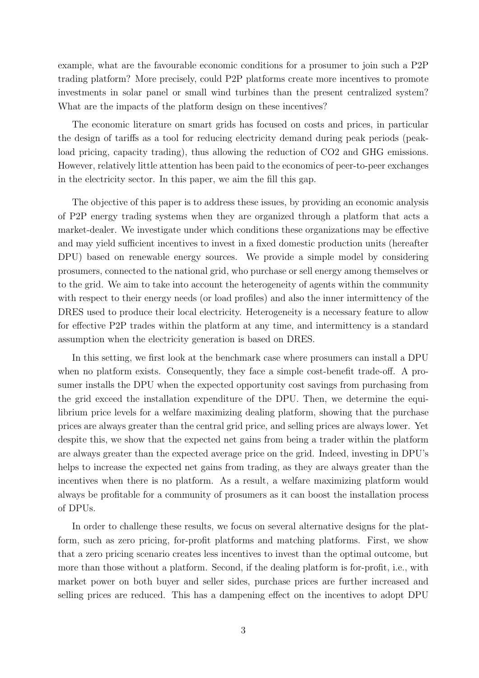example, what are the favourable economic conditions for a prosumer to join such a P2P trading platform? More precisely, could P2P platforms create more incentives to promote investments in solar panel or small wind turbines than the present centralized system? What are the impacts of the platform design on these incentives?

The economic literature on smart grids has focused on costs and prices, in particular the design of tariffs as a tool for reducing electricity demand during peak periods (peakload pricing, capacity trading), thus allowing the reduction of CO2 and GHG emissions. However, relatively little attention has been paid to the economics of peer-to-peer exchanges in the electricity sector. In this paper, we aim the fill this gap.

The objective of this paper is to address these issues, by providing an economic analysis of P2P energy trading systems when they are organized through a platform that acts a market-dealer. We investigate under which conditions these organizations may be effective and may yield sufficient incentives to invest in a fixed domestic production units (hereafter DPU) based on renewable energy sources. We provide a simple model by considering prosumers, connected to the national grid, who purchase or sell energy among themselves or to the grid. We aim to take into account the heterogeneity of agents within the community with respect to their energy needs (or load profiles) and also the inner intermittency of the DRES used to produce their local electricity. Heterogeneity is a necessary feature to allow for effective P2P trades within the platform at any time, and intermittency is a standard assumption when the electricity generation is based on DRES.

In this setting, we first look at the benchmark case where prosumers can install a DPU when no platform exists. Consequently, they face a simple cost-benefit trade-off. A prosumer installs the DPU when the expected opportunity cost savings from purchasing from the grid exceed the installation expenditure of the DPU. Then, we determine the equilibrium price levels for a welfare maximizing dealing platform, showing that the purchase prices are always greater than the central grid price, and selling prices are always lower. Yet despite this, we show that the expected net gains from being a trader within the platform are always greater than the expected average price on the grid. Indeed, investing in DPU's helps to increase the expected net gains from trading, as they are always greater than the incentives when there is no platform. As a result, a welfare maximizing platform would always be profitable for a community of prosumers as it can boost the installation process of DPUs.

In order to challenge these results, we focus on several alternative designs for the platform, such as zero pricing, for-profit platforms and matching platforms. First, we show that a zero pricing scenario creates less incentives to invest than the optimal outcome, but more than those without a platform. Second, if the dealing platform is for-profit, i.e., with market power on both buyer and seller sides, purchase prices are further increased and selling prices are reduced. This has a dampening effect on the incentives to adopt DPU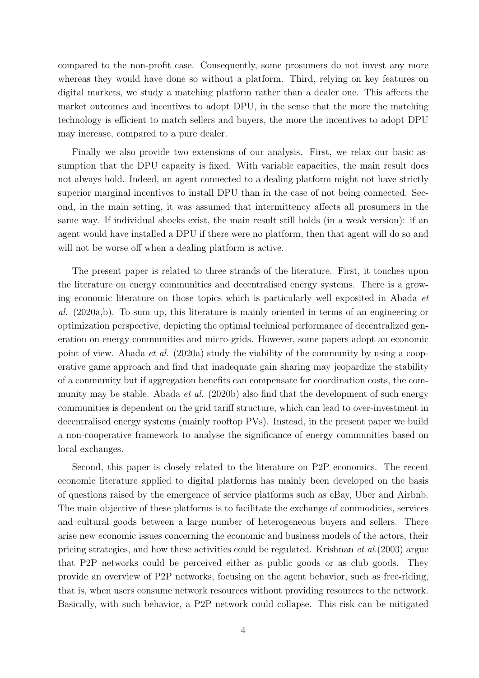compared to the non-profit case. Consequently, some prosumers do not invest any more whereas they would have done so without a platform. Third, relying on key features on digital markets, we study a matching platform rather than a dealer one. This affects the market outcomes and incentives to adopt DPU, in the sense that the more the matching technology is efficient to match sellers and buyers, the more the incentives to adopt DPU may increase, compared to a pure dealer.

Finally we also provide two extensions of our analysis. First, we relax our basic assumption that the DPU capacity is fixed. With variable capacities, the main result does not always hold. Indeed, an agent connected to a dealing platform might not have strictly superior marginal incentives to install DPU than in the case of not being connected. Second, in the main setting, it was assumed that intermittency affects all prosumers in the same way. If individual shocks exist, the main result still holds (in a weak version): if an agent would have installed a DPU if there were no platform, then that agent will do so and will not be worse off when a dealing platform is active.

The present paper is related to three strands of the literature. First, it touches upon the literature on energy communities and decentralised energy systems. There is a growing economic literature on those topics which is particularly well exposited in Abada et al. (2020a,b). To sum up, this literature is mainly oriented in terms of an engineering or optimization perspective, depicting the optimal technical performance of decentralized generation on energy communities and micro-grids. However, some papers adopt an economic point of view. Abada et al. (2020a) study the viability of the community by using a cooperative game approach and find that inadequate gain sharing may jeopardize the stability of a community but if aggregation benefits can compensate for coordination costs, the community may be stable. Abada *et al.* (2020b) also find that the development of such energy communities is dependent on the grid tariff structure, which can lead to over-investment in decentralised energy systems (mainly rooftop PVs). Instead, in the present paper we build a non-cooperative framework to analyse the significance of energy communities based on local exchanges.

Second, this paper is closely related to the literature on P2P economics. The recent economic literature applied to digital platforms has mainly been developed on the basis of questions raised by the emergence of service platforms such as eBay, Uber and Airbnb. The main objective of these platforms is to facilitate the exchange of commodities, services and cultural goods between a large number of heterogeneous buyers and sellers. There arise new economic issues concerning the economic and business models of the actors, their pricing strategies, and how these activities could be regulated. Krishnan et al.(2003) argue that P2P networks could be perceived either as public goods or as club goods. They provide an overview of P2P networks, focusing on the agent behavior, such as free-riding, that is, when users consume network resources without providing resources to the network. Basically, with such behavior, a P2P network could collapse. This risk can be mitigated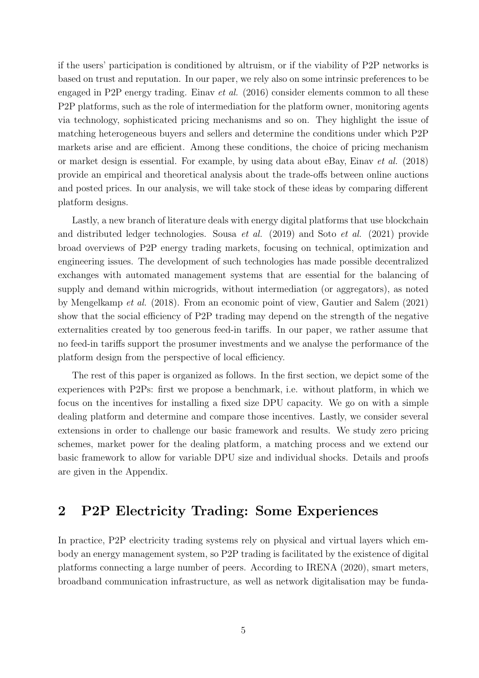if the users' participation is conditioned by altruism, or if the viability of P2P networks is based on trust and reputation. In our paper, we rely also on some intrinsic preferences to be engaged in P2P energy trading. Einav et al. (2016) consider elements common to all these P2P platforms, such as the role of intermediation for the platform owner, monitoring agents via technology, sophisticated pricing mechanisms and so on. They highlight the issue of matching heterogeneous buyers and sellers and determine the conditions under which P2P markets arise and are efficient. Among these conditions, the choice of pricing mechanism or market design is essential. For example, by using data about eBay, Einav et al. (2018) provide an empirical and theoretical analysis about the trade-offs between online auctions and posted prices. In our analysis, we will take stock of these ideas by comparing different platform designs.

Lastly, a new branch of literature deals with energy digital platforms that use blockchain and distributed ledger technologies. Sousa et al. (2019) and Soto et al. (2021) provide broad overviews of P2P energy trading markets, focusing on technical, optimization and engineering issues. The development of such technologies has made possible decentralized exchanges with automated management systems that are essential for the balancing of supply and demand within microgrids, without intermediation (or aggregators), as noted by Mengelkamp et al. (2018). From an economic point of view, Gautier and Salem (2021) show that the social efficiency of P2P trading may depend on the strength of the negative externalities created by too generous feed-in tariffs. In our paper, we rather assume that no feed-in tariffs support the prosumer investments and we analyse the performance of the platform design from the perspective of local efficiency.

The rest of this paper is organized as follows. In the first section, we depict some of the experiences with P2Ps: first we propose a benchmark, i.e. without platform, in which we focus on the incentives for installing a fixed size DPU capacity. We go on with a simple dealing platform and determine and compare those incentives. Lastly, we consider several extensions in order to challenge our basic framework and results. We study zero pricing schemes, market power for the dealing platform, a matching process and we extend our basic framework to allow for variable DPU size and individual shocks. Details and proofs are given in the Appendix.

# 2 P2P Electricity Trading: Some Experiences

In practice, P2P electricity trading systems rely on physical and virtual layers which embody an energy management system, so P2P trading is facilitated by the existence of digital platforms connecting a large number of peers. According to IRENA (2020), smart meters, broadband communication infrastructure, as well as network digitalisation may be funda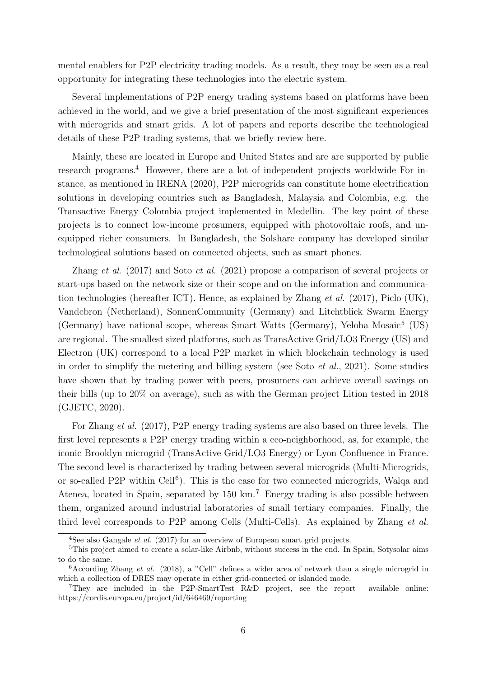mental enablers for P2P electricity trading models. As a result, they may be seen as a real opportunity for integrating these technologies into the electric system.

Several implementations of P2P energy trading systems based on platforms have been achieved in the world, and we give a brief presentation of the most significant experiences with microgrids and smart grids. A lot of papers and reports describe the technological details of these P2P trading systems, that we briefly review here.

Mainly, these are located in Europe and United States and are are supported by public research programs.<sup>4</sup> However, there are a lot of independent projects worldwide For instance, as mentioned in IRENA (2020), P2P microgrids can constitute home electrification solutions in developing countries such as Bangladesh, Malaysia and Colombia, e.g. the Transactive Energy Colombia project implemented in Medellin. The key point of these projects is to connect low-income prosumers, equipped with photovoltaic roofs, and unequipped richer consumers. In Bangladesh, the Solshare company has developed similar technological solutions based on connected objects, such as smart phones.

Zhang et al. (2017) and Soto et al. (2021) propose a comparison of several projects or start-ups based on the network size or their scope and on the information and communication technologies (hereafter ICT). Hence, as explained by Zhang *et al.* (2017), Piclo (UK), Vandebron (Netherland), SonnenCommunity (Germany) and Litchtblick Swarm Energy (Germany) have national scope, whereas Smart Watts (Germany), Yeloha Mosaic<sup>5</sup> (US) are regional. The smallest sized platforms, such as TransActive Grid/LO3 Energy (US) and Electron (UK) correspond to a local P2P market in which blockchain technology is used in order to simplify the metering and billing system (see Soto *et al.*, 2021). Some studies have shown that by trading power with peers, prosumers can achieve overall savings on their bills (up to 20% on average), such as with the German project Lition tested in 2018 (GJETC, 2020).

For Zhang et al. (2017), P2P energy trading systems are also based on three levels. The first level represents a P2P energy trading within a eco-neighborhood, as, for example, the iconic Brooklyn microgrid (TransActive Grid/LO3 Energy) or Lyon Confluence in France. The second level is characterized by trading between several microgrids (Multi-Microgrids, or so-called P2P within Cell<sup>6</sup>). This is the case for two connected microgrids, Walqa and Atenea, located in Spain, separated by 150 km.<sup>7</sup> Energy trading is also possible between them, organized around industrial laboratories of small tertiary companies. Finally, the third level corresponds to P2P among Cells (Multi-Cells). As explained by Zhang et al.

<sup>&</sup>lt;sup>4</sup>See also Gangale *et al.* (2017) for an overview of European smart grid projects.

<sup>5</sup>This project aimed to create a solar-like Airbnb, without success in the end. In Spain, Sotysolar aims to do the same.

 $6$ According Zhang *et al.* (2018), a "Cell" defines a wider area of network than a single microgrid in which a collection of DRES may operate in either grid-connected or islanded mode.

<sup>7</sup>They are included in the P2P-SmartTest R&D project, see the report available online: https://cordis.europa.eu/project/id/646469/reporting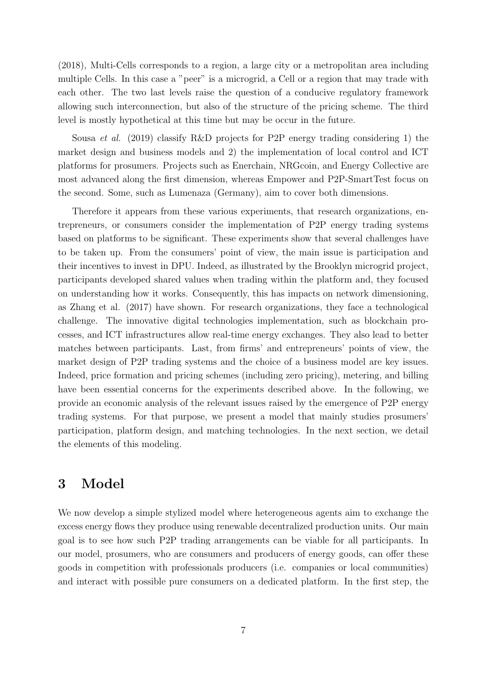(2018), Multi-Cells corresponds to a region, a large city or a metropolitan area including multiple Cells. In this case a "peer" is a microgrid, a Cell or a region that may trade with each other. The two last levels raise the question of a conducive regulatory framework allowing such interconnection, but also of the structure of the pricing scheme. The third level is mostly hypothetical at this time but may be occur in the future.

Sousa et al. (2019) classify R&D projects for P2P energy trading considering 1) the market design and business models and 2) the implementation of local control and ICT platforms for prosumers. Projects such as Enerchain, NRGcoin, and Energy Collective are most advanced along the first dimension, whereas Empower and P2P-SmartTest focus on the second. Some, such as Lumenaza (Germany), aim to cover both dimensions.

Therefore it appears from these various experiments, that research organizations, entrepreneurs, or consumers consider the implementation of P2P energy trading systems based on platforms to be significant. These experiments show that several challenges have to be taken up. From the consumers' point of view, the main issue is participation and their incentives to invest in DPU. Indeed, as illustrated by the Brooklyn microgrid project, participants developed shared values when trading within the platform and, they focused on understanding how it works. Consequently, this has impacts on network dimensioning, as Zhang et al. (2017) have shown. For research organizations, they face a technological challenge. The innovative digital technologies implementation, such as blockchain processes, and ICT infrastructures allow real-time energy exchanges. They also lead to better matches between participants. Last, from firms' and entrepreneurs' points of view, the market design of P2P trading systems and the choice of a business model are key issues. Indeed, price formation and pricing schemes (including zero pricing), metering, and billing have been essential concerns for the experiments described above. In the following, we provide an economic analysis of the relevant issues raised by the emergence of P2P energy trading systems. For that purpose, we present a model that mainly studies prosumers' participation, platform design, and matching technologies. In the next section, we detail the elements of this modeling.

# 3 Model

We now develop a simple stylized model where heterogeneous agents aim to exchange the excess energy flows they produce using renewable decentralized production units. Our main goal is to see how such P2P trading arrangements can be viable for all participants. In our model, prosumers, who are consumers and producers of energy goods, can offer these goods in competition with professionals producers (i.e. companies or local communities) and interact with possible pure consumers on a dedicated platform. In the first step, the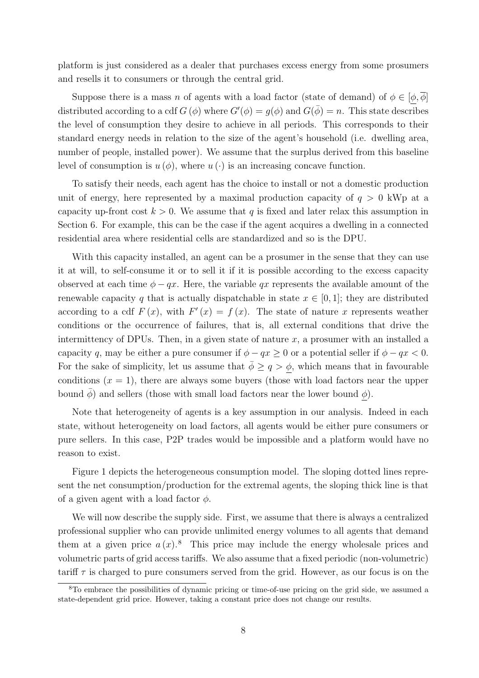platform is just considered as a dealer that purchases excess energy from some prosumers and resells it to consumers or through the central grid.

Suppose there is a mass n of agents with a load factor (state of demand) of  $\phi \in [\phi, \overline{\phi}]$ distributed according to a cdf  $G(\phi)$  where  $G'(\phi) = g(\phi)$  and  $G(\bar{\phi}) = n$ . This state describes the level of consumption they desire to achieve in all periods. This corresponds to their standard energy needs in relation to the size of the agent's household (i.e. dwelling area, number of people, installed power). We assume that the surplus derived from this baseline level of consumption is  $u(\phi)$ , where  $u(\cdot)$  is an increasing concave function.

To satisfy their needs, each agent has the choice to install or not a domestic production unit of energy, here represented by a maximal production capacity of  $q > 0$  kWp at a capacity up-front cost  $k > 0$ . We assume that q is fixed and later relax this assumption in Section 6. For example, this can be the case if the agent acquires a dwelling in a connected residential area where residential cells are standardized and so is the DPU.

With this capacity installed, an agent can be a prosumer in the sense that they can use it at will, to self-consume it or to sell it if it is possible according to the excess capacity observed at each time  $\phi - qx$ . Here, the variable qx represents the available amount of the renewable capacity q that is actually dispatchable in state  $x \in [0,1]$ ; they are distributed according to a cdf  $F(x)$ , with  $F'(x) = f(x)$ . The state of nature x represents weather conditions or the occurrence of failures, that is, all external conditions that drive the intermittency of DPUs. Then, in a given state of nature  $x$ , a prosumer with an installed a capacity q, may be either a pure consumer if  $\phi - qx \geq 0$  or a potential seller if  $\phi - qx < 0$ . For the sake of simplicity, let us assume that  $\overline{\phi} \ge q > \phi$ , which means that in favourable conditions  $(x = 1)$ , there are always some buyers (those with load factors near the upper bound  $\phi$ ) and sellers (those with small load factors near the lower bound  $\phi$ ).

Note that heterogeneity of agents is a key assumption in our analysis. Indeed in each state, without heterogeneity on load factors, all agents would be either pure consumers or pure sellers. In this case, P2P trades would be impossible and a platform would have no reason to exist.

Figure 1 depicts the heterogeneous consumption model. The sloping dotted lines represent the net consumption/production for the extremal agents, the sloping thick line is that of a given agent with a load factor  $\phi$ .

We will now describe the supply side. First, we assume that there is always a centralized professional supplier who can provide unlimited energy volumes to all agents that demand them at a given price  $a(x)$ .<sup>8</sup> This price may include the energy wholesale prices and volumetric parts of grid access tariffs. We also assume that a fixed periodic (non-volumetric) tariff  $\tau$  is charged to pure consumers served from the grid. However, as our focus is on the

<sup>8</sup>To embrace the possibilities of dynamic pricing or time-of-use pricing on the grid side, we assumed a state-dependent grid price. However, taking a constant price does not change our results.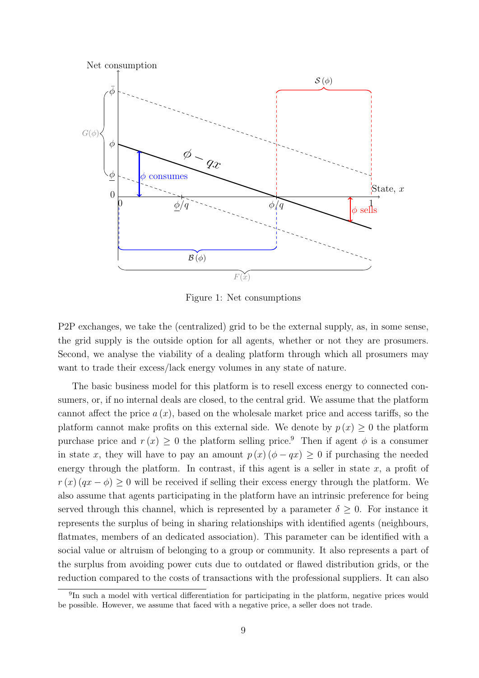

Figure 1: Net consumptions

P2P exchanges, we take the (centralized) grid to be the external supply, as, in some sense, the grid supply is the outside option for all agents, whether or not they are prosumers. Second, we analyse the viability of a dealing platform through which all prosumers may want to trade their excess/lack energy volumes in any state of nature.

The basic business model for this platform is to resell excess energy to connected consumers, or, if no internal deals are closed, to the central grid. We assume that the platform cannot affect the price  $a(x)$ , based on the wholesale market price and access tariffs, so the platform cannot make profits on this external side. We denote by  $p(x) \geq 0$  the platform purchase price and  $r(x) \geq 0$  the platform selling price.<sup>9</sup> Then if agent  $\phi$  is a consumer in state x, they will have to pay an amount  $p(x)$  ( $\phi - qx$ ) ≥ 0 if purchasing the needed energy through the platform. In contrast, if this agent is a seller in state  $x$ , a profit of  $r(x)$   $(qx - \phi) \geq 0$  will be received if selling their excess energy through the platform. We also assume that agents participating in the platform have an intrinsic preference for being served through this channel, which is represented by a parameter  $\delta \geq 0$ . For instance it represents the surplus of being in sharing relationships with identified agents (neighbours, flatmates, members of an dedicated association). This parameter can be identified with a social value or altruism of belonging to a group or community. It also represents a part of the surplus from avoiding power cuts due to outdated or flawed distribution grids, or the reduction compared to the costs of transactions with the professional suppliers. It can also

<sup>&</sup>lt;sup>9</sup>In such a model with vertical differentiation for participating in the platform, negative prices would be possible. However, we assume that faced with a negative price, a seller does not trade.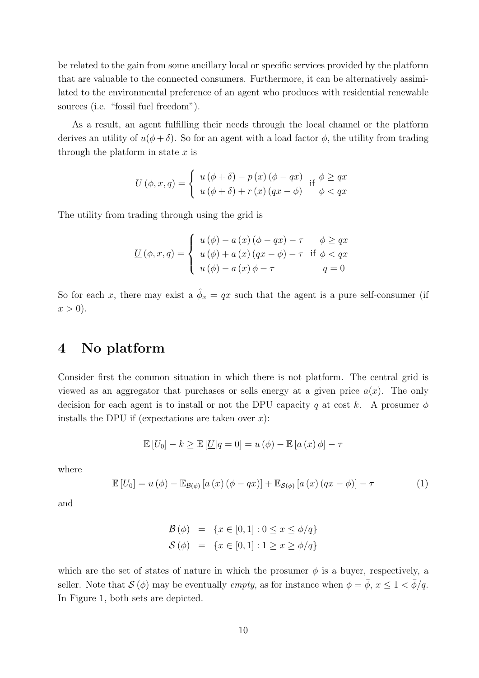be related to the gain from some ancillary local or specific services provided by the platform that are valuable to the connected consumers. Furthermore, it can be alternatively assimilated to the environmental preference of an agent who produces with residential renewable sources (i.e. "fossil fuel freedom").

As a result, an agent fulfilling their needs through the local channel or the platform derives an utility of  $u(\phi + \delta)$ . So for an agent with a load factor  $\phi$ , the utility from trading through the platform in state  $x$  is

$$
U(\phi, x, q) = \begin{cases} u(\phi + \delta) - p(x)(\phi - qx) & \text{if } \phi \ge qx \\ u(\phi + \delta) + r(x)(qx - \phi) & \phi < qx \end{cases}
$$

The utility from trading through using the grid is

$$
\underline{U}(\phi, x, q) = \begin{cases} u(\phi) - a(x)(\phi - qx) - \tau & \phi \ge qx \\ u(\phi) + a(x)(qx - \phi) - \tau & \text{if } \phi < qx \\ u(\phi) - a(x)\phi - \tau & q = 0 \end{cases}
$$

So for each x, there may exist a  $\hat{\phi}_x = qx$  such that the agent is a pure self-consumer (if  $x > 0$ ).

### 4 No platform

Consider first the common situation in which there is not platform. The central grid is viewed as an aggregator that purchases or sells energy at a given price  $a(x)$ . The only decision for each agent is to install or not the DPU capacity q at cost k. A prosumer  $\phi$ installs the DPU if (expectations are taken over  $x$ ):

$$
\mathbb{E}[U_0] - k \ge \mathbb{E}[U|q = 0] = u(\phi) - \mathbb{E}[a(x)\phi] - \tau
$$

where

$$
\mathbb{E}\left[U_0\right] = u\left(\phi\right) - \mathbb{E}_{\mathcal{B}(\phi)}\left[a\left(x\right)\left(\phi - qx\right)\right] + \mathbb{E}_{\mathcal{S}(\phi)}\left[a\left(x\right)\left(qx - \phi\right)\right] - \tau \tag{1}
$$

and

$$
\mathcal{B}(\phi) = \{x \in [0, 1] : 0 \le x \le \phi/q\}
$$
  

$$
\mathcal{S}(\phi) = \{x \in [0, 1] : 1 \ge x \ge \phi/q\}
$$

which are the set of states of nature in which the prosumer  $\phi$  is a buyer, respectively, a seller. Note that  $\mathcal{S}(\phi)$  may be eventually *empty*, as for instance when  $\phi = \bar{\phi}$ ,  $x \le 1 < \bar{\phi}/q$ . In Figure 1, both sets are depicted.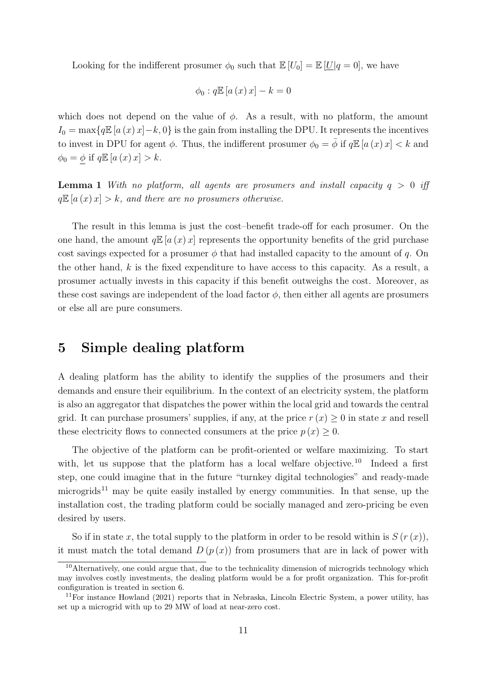Looking for the indifferent prosumer  $\phi_0$  such that  $\mathbb{E}[U_0] = \mathbb{E}[U|q = 0]$ , we have

$$
\phi_0: q\mathbb{E}\left[a\left(x\right)x\right]-k=0
$$

which does not depend on the value of  $\phi$ . As a result, with no platform, the amount  $I_0 = \max\{q \mathbb{E}[a(x) x] - k, 0\}$  is the gain from installing the DPU. It represents the incentives to invest in DPU for agent  $\phi$ . Thus, the indifferent prosumer  $\phi_0 = \bar{\phi}$  if  $q \mathbb{E}[a(x) x] < k$  and  $\phi_0 = \phi$  if  $q \mathbb{E}[a(x) x] > k$ .

**Lemma 1** With no platform, all agents are prosumers and install capacity  $q > 0$  iff  $q\mathbb{E}[a(x) x] > k$ , and there are no prosumers otherwise.

The result in this lemma is just the cost–benefit trade-off for each prosumer. On the one hand, the amount  $q \mathbb{E}[a(x) x]$  represents the opportunity benefits of the grid purchase cost savings expected for a prosumer  $\phi$  that had installed capacity to the amount of q. On the other hand,  $k$  is the fixed expenditure to have access to this capacity. As a result, a prosumer actually invests in this capacity if this benefit outweighs the cost. Moreover, as these cost savings are independent of the load factor  $\phi$ , then either all agents are prosumers or else all are pure consumers.

### 5 Simple dealing platform

A dealing platform has the ability to identify the supplies of the prosumers and their demands and ensure their equilibrium. In the context of an electricity system, the platform is also an aggregator that dispatches the power within the local grid and towards the central grid. It can purchase prosumers' supplies, if any, at the price  $r(x) \geq 0$  in state x and resell these electricity flows to connected consumers at the price  $p(x) \geq 0$ .

The objective of the platform can be profit-oriented or welfare maximizing. To start with, let us suppose that the platform has a local welfare objective.<sup>10</sup> Indeed a first step, one could imagine that in the future "turnkey digital technologies" and ready-made microgrids<sup>11</sup> may be quite easily installed by energy communities. In that sense, up the installation cost, the trading platform could be socially managed and zero-pricing be even desired by users.

So if in state x, the total supply to the platform in order to be resold within is  $S(r(x))$ , it must match the total demand  $D(p(x))$  from prosumers that are in lack of power with

 $10$ Alternatively, one could argue that, due to the technicality dimension of microgrids technology which may involves costly investments, the dealing platform would be a for profit organization. This for-profit configuration is treated in section 6.

<sup>11</sup>For instance Howland (2021) reports that in Nebraska, Lincoln Electric System, a power utility, has set up a microgrid with up to 29 MW of load at near-zero cost.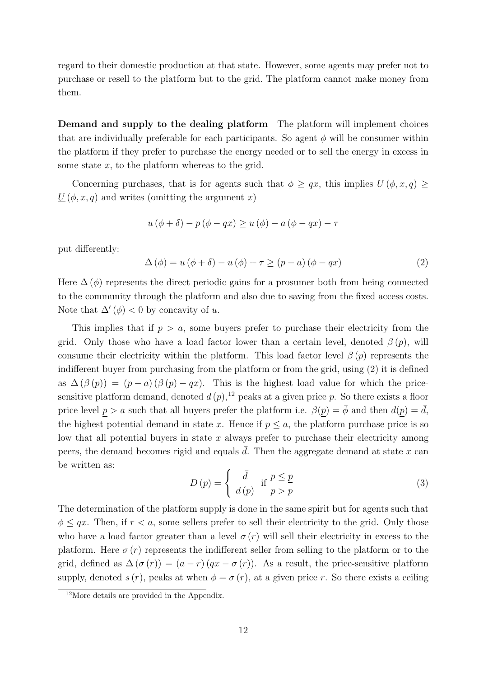regard to their domestic production at that state. However, some agents may prefer not to purchase or resell to the platform but to the grid. The platform cannot make money from them.

Demand and supply to the dealing platform The platform will implement choices that are individually preferable for each participants. So agent  $\phi$  will be consumer within the platform if they prefer to purchase the energy needed or to sell the energy in excess in some state  $x$ , to the platform whereas to the grid.

Concerning purchases, that is for agents such that  $\phi \geq qx$ , this implies  $U(\phi, x, q) \geq$  $\underline{U}(\phi, x, q)$  and writes (omitting the argument x)

$$
u(\phi + \delta) - p(\phi - qx) \ge u(\phi) - a(\phi - qx) - \tau
$$

put differently:

$$
\Delta(\phi) = u(\phi + \delta) - u(\phi) + \tau \ge (p - a)(\phi - qx) \tag{2}
$$

Here  $\Delta(\phi)$  represents the direct periodic gains for a prosumer both from being connected to the community through the platform and also due to saving from the fixed access costs. Note that  $\Delta'(\phi) < 0$  by concavity of u.

This implies that if  $p > a$ , some buyers prefer to purchase their electricity from the grid. Only those who have a load factor lower than a certain level, denoted  $\beta(p)$ , will consume their electricity within the platform. This load factor level  $\beta(p)$  represents the indifferent buyer from purchasing from the platform or from the grid, using (2) it is defined as  $\Delta(\beta(p)) = (p - a)(\beta(p) - qx)$ . This is the highest load value for which the pricesensitive platform demand, denoted  $d(p)$ , <sup>12</sup> peaks at a given price p. So there exists a floor price level  $\underline{p} > a$  such that all buyers prefer the platform i.e.  $\beta(\underline{p}) = \overline{\phi}$  and then  $d(\underline{p}) = \overline{d}$ , the highest potential demand in state x. Hence if  $p \leq a$ , the platform purchase price is so low that all potential buyers in state  $x$  always prefer to purchase their electricity among peers, the demand becomes rigid and equals  $\overline{d}$ . Then the aggregate demand at state x can be written as:

$$
D(p) = \begin{cases} \bar{d} & \text{if } p \leq \underline{p} \\ d(p) & p > \underline{p} \end{cases}
$$
 (3)

The determination of the platform supply is done in the same spirit but for agents such that  $\phi \le qx$ . Then, if  $r < a$ , some sellers prefer to sell their electricity to the grid. Only those who have a load factor greater than a level  $\sigma(r)$  will sell their electricity in excess to the platform. Here  $\sigma(r)$  represents the indifferent seller from selling to the platform or to the grid, defined as  $\Delta(\sigma(r)) = (a-r)(qx - \sigma(r))$ . As a result, the price-sensitive platform supply, denoted  $s(r)$ , peaks at when  $\phi = \sigma(r)$ , at a given price r. So there exists a ceiling

<sup>12</sup>More details are provided in the Appendix.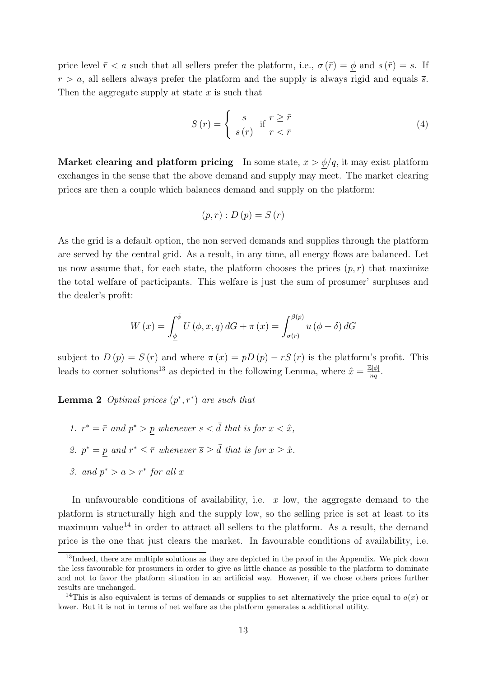price level  $\bar{r} < a$  such that all sellers prefer the platform, i.e.,  $\sigma(\bar{r}) = \phi$  and  $s(\bar{r}) = \bar{s}$ . If  $r > a$ , all sellers always prefer the platform and the supply is always rigid and equals  $\overline{s}$ . Then the aggregate supply at state  $x$  is such that

$$
S(r) = \begin{cases} \overline{s} & \text{if } r \ge \overline{r} \\ s(r) & r < \overline{r} \end{cases}
$$
 (4)

Market clearing and platform pricing In some state,  $x > \phi/q$ , it may exist platform exchanges in the sense that the above demand and supply may meet. The market clearing prices are then a couple which balances demand and supply on the platform:

$$
(p,r):D(p)=S(r)
$$

As the grid is a default option, the non served demands and supplies through the platform are served by the central grid. As a result, in any time, all energy flows are balanced. Let us now assume that, for each state, the platform chooses the prices  $(p, r)$  that maximize the total welfare of participants. This welfare is just the sum of prosumer' surpluses and the dealer's profit:

$$
W(x) = \int_{\underline{\phi}}^{\overline{\phi}} U(\phi, x, q) dG + \pi(x) = \int_{\sigma(r)}^{\beta(p)} u(\phi + \delta) dG
$$

subject to  $D(p) = S(r)$  and where  $\pi(x) = pD(p) - rS(r)$  is the platform's profit. This leads to corner solutions<sup>13</sup> as depicted in the following Lemma, where  $\hat{x} = \frac{\mathbb{E}[\phi]}{ng}$  $\frac{\mathfrak{g}[\phi]}{nq}.$ 

**Lemma 2** Optimal prices  $(p^*, r^*)$  are such that

- 1.  $r^* = \overline{r}$  and  $p^* > p$  whenever  $\overline{s} < \overline{d}$  that is for  $x < \hat{x}$ ,
- 2.  $p^* = p$  and  $r^* \leq \overline{r}$  whenever  $\overline{s} \geq \overline{d}$  that is for  $x \geq \hat{x}$ .
- 3. and  $p^* > a > r^*$  for all x

In unfavourable conditions of availability, i.e.  $x$  low, the aggregate demand to the platform is structurally high and the supply low, so the selling price is set at least to its maximum value<sup>14</sup> in order to attract all sellers to the platform. As a result, the demand price is the one that just clears the market. In favourable conditions of availability, i.e.

<sup>&</sup>lt;sup>13</sup>Indeed, there are multiple solutions as they are depicted in the proof in the Appendix. We pick down the less favourable for prosumers in order to give as little chance as possible to the platform to dominate and not to favor the platform situation in an artificial way. However, if we chose others prices further results are unchanged.

<sup>&</sup>lt;sup>14</sup>This is also equivalent is terms of demands or supplies to set alternatively the price equal to  $a(x)$  or lower. But it is not in terms of net welfare as the platform generates a additional utility.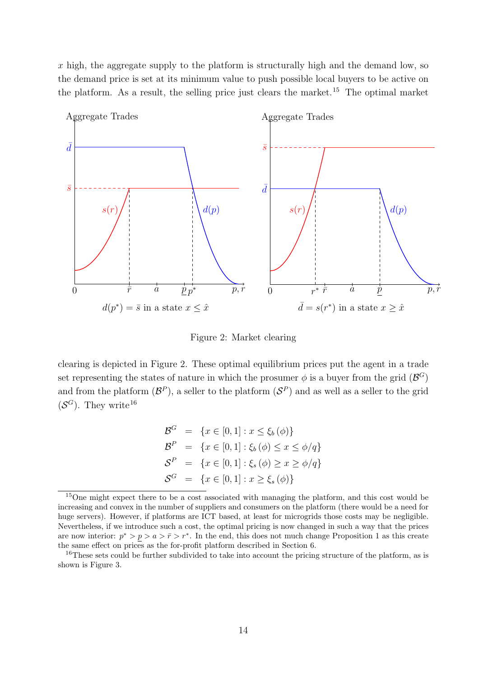$x$  high, the aggregate supply to the platform is structurally high and the demand low, so the demand price is set at its minimum value to push possible local buyers to be active on the platform. As a result, the selling price just clears the market.<sup>15</sup> The optimal market



Figure 2: Market clearing

clearing is depicted in Figure 2. These optimal equilibrium prices put the agent in a trade set representing the states of nature in which the prosumer  $\phi$  is a buyer from the grid  $(\mathcal{B}^G)$ and from the platform  $(\mathcal{B}^P)$ , a seller to the platform  $(\mathcal{S}^P)$  and as well as a seller to the grid  $(\mathcal{S}^G)$ . They write<sup>16</sup>

$$
\mathcal{B}^G = \{x \in [0, 1] : x \le \xi_b(\phi)\}\
$$
  

$$
\mathcal{B}^P = \{x \in [0, 1] : \xi_b(\phi) \le x \le \phi/q\}\
$$
  

$$
\mathcal{S}^P = \{x \in [0, 1] : \xi_s(\phi) \ge x \ge \phi/q\}\
$$
  

$$
\mathcal{S}^G = \{x \in [0, 1] : x \ge \xi_s(\phi)\}\
$$

<sup>&</sup>lt;sup>15</sup>One might expect there to be a cost associated with managing the platform, and this cost would be increasing and convex in the number of suppliers and consumers on the platform (there would be a need for huge servers). However, if platforms are ICT based, at least for microgrids those costs may be negligible. Nevertheless, if we introduce such a cost, the optimal pricing is now changed in such a way that the prices are now interior:  $p^* > p > a > \bar{r} > r^*$ . In the end, this does not much change Proposition 1 as this create the same effect on prices as the for-profit platform described in Section 6.

<sup>&</sup>lt;sup>16</sup>These sets could be further subdivided to take into account the pricing structure of the platform, as is shown is Figure 3.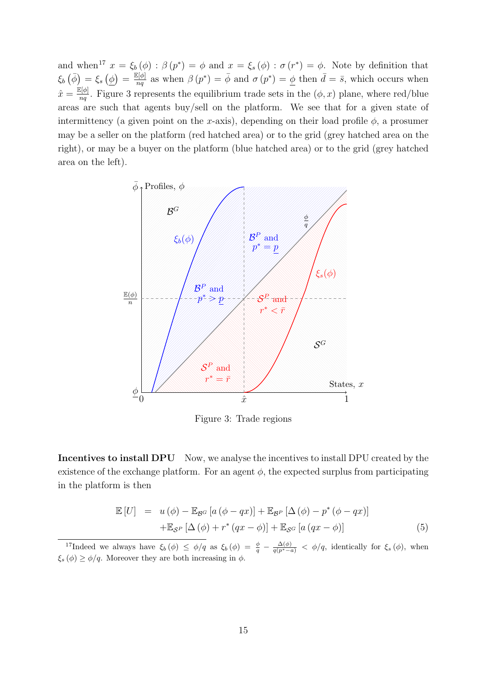and when<sup>17</sup>  $x = \xi_b(\phi) : \beta(p^*) = \phi$  and  $x = \xi_s(\phi) : \sigma(r^*) = \phi$ . Note by definition that  $\xi_b(\bar{\phi}) = \xi_s(\phi) = \frac{\mathbb{E}[\phi]}{na}$  $\frac{\partial[\phi]}{nq}$  as when  $\beta(p^*) = \bar{\phi}$  and  $\sigma(p^*) = \underline{\phi}$  then  $\bar{d} = \bar{s}$ , which occurs when  $\hat{x} = \frac{\mathbb{E}[\phi]}{n g}$  $\frac{\partial[\phi]}{nq}$ . Figure 3 represents the equilibrium trade sets in the  $(\phi, x)$  plane, where red/blue areas are such that agents buy/sell on the platform. We see that for a given state of intermittency (a given point on the x-axis), depending on their load profile  $\phi$ , a prosumer may be a seller on the platform (red hatched area) or to the grid (grey hatched area on the right), or may be a buyer on the platform (blue hatched area) or to the grid (grey hatched area on the left).



Figure 3: Trade regions

Incentives to install DPU Now, we analyse the incentives to install DPU created by the existence of the exchange platform. For an agent  $\phi$ , the expected surplus from participating in the platform is then

$$
\mathbb{E}[U] = u(\phi) - \mathbb{E}_{\mathcal{B}^G} [a(\phi - qx)] + \mathbb{E}_{\mathcal{B}^P} [\Delta(\phi) - p^*(\phi - qx)]
$$
  
 
$$
+ \mathbb{E}_{\mathcal{S}^P} [\Delta(\phi) + r^*(qx - \phi)] + \mathbb{E}_{\mathcal{S}^G} [a(qx - \phi)] \tag{5}
$$

<sup>&</sup>lt;sup>17</sup>Indeed we always have  $\xi_b(\phi) \leq \phi/q$  as  $\xi_b(\phi) = \frac{\phi}{q} - \frac{\Delta(\phi)}{q(p^*-a)} < \phi/q$ , identically for  $\xi_s(\phi)$ , when  $\xi_s(\phi) \geq \phi/q$ . Moreover they are both increasing in  $\phi$ .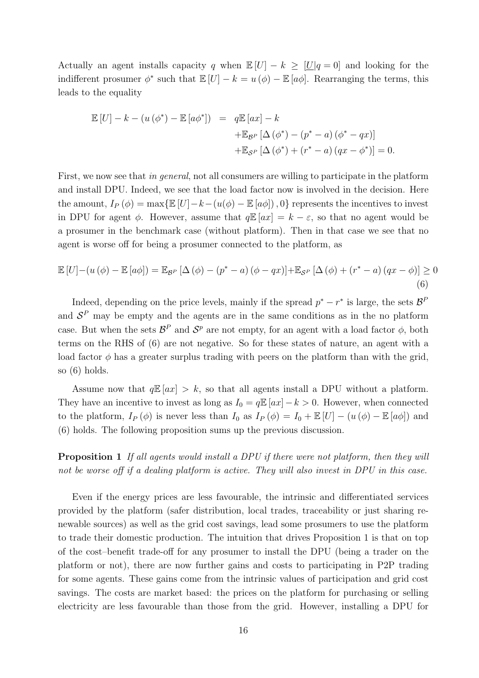Actually an agent installs capacity q when  $\mathbb{E}[U] - k \geq [U] - 0$  and looking for the indifferent prosumer  $\phi^*$  such that  $\mathbb{E}[U] - k = u(\phi) - \mathbb{E}[a\phi]$ . Rearranging the terms, this leads to the equality

$$
\mathbb{E}[U] - k - (u(\phi^*) - \mathbb{E}[a\phi^*]) = q\mathbb{E}[ax] - k
$$
  
 
$$
+ \mathbb{E}_{\mathcal{B}^P}[\Delta(\phi^*) - (p^* - a)(\phi^* - qx)]
$$
  
 
$$
+ \mathbb{E}_{\mathcal{S}^P}[\Delta(\phi^*) + (r^* - a)(qx - \phi^*)] = 0.
$$

First, we now see that in general, not all consumers are willing to participate in the platform and install DPU. Indeed, we see that the load factor now is involved in the decision. Here the amount,  $I_P(\phi) = \max{\mathbb{E}[U] - k - (u(\phi) - \mathbb{E}[a\phi])}$ , 0} represents the incentives to invest in DPU for agent  $\phi$ . However, assume that  $q\mathbb{E}[ax] = k - \varepsilon$ , so that no agent would be a prosumer in the benchmark case (without platform). Then in that case we see that no agent is worse off for being a prosumer connected to the platform, as

$$
\mathbb{E}\left[U\right] - \left(u\left(\phi\right) - \mathbb{E}\left[a\phi\right]\right) = \mathbb{E}_{\mathcal{B}^P}\left[\Delta\left(\phi\right) - \left(p^* - a\right)\left(\phi - qx\right)\right] + \mathbb{E}_{\mathcal{S}^P}\left[\Delta\left(\phi\right) + \left(r^* - a\right)\left(qx - \phi\right)\right] \ge 0\tag{6}
$$

Indeed, depending on the price levels, mainly if the spread  $p^* - r^*$  is large, the sets  $\mathcal{B}^F$ and  $S<sup>P</sup>$  may be empty and the agents are in the same conditions as in the no platform case. But when the sets  $\mathcal{B}^P$  and  $\mathcal{S}^p$  are not empty, for an agent with a load factor  $\phi$ , both terms on the RHS of (6) are not negative. So for these states of nature, an agent with a load factor  $\phi$  has a greater surplus trading with peers on the platform than with the grid. so (6) holds.

Assume now that  $q\mathbb{E}[ax] > k$ , so that all agents install a DPU without a platform. They have an incentive to invest as long as  $I_0 = q \mathbb{E}[ax] - k > 0$ . However, when connected to the platform,  $I_P(\phi)$  is never less than  $I_0$  as  $I_P(\phi) = I_0 + \mathbb{E}[U] - (u(\phi) - \mathbb{E}[a\phi])$  and (6) holds. The following proposition sums up the previous discussion.

**Proposition 1** If all agents would install a DPU if there were not platform, then they will not be worse off if a dealing platform is active. They will also invest in DPU in this case.

Even if the energy prices are less favourable, the intrinsic and differentiated services provided by the platform (safer distribution, local trades, traceability or just sharing renewable sources) as well as the grid cost savings, lead some prosumers to use the platform to trade their domestic production. The intuition that drives Proposition 1 is that on top of the cost–benefit trade-off for any prosumer to install the DPU (being a trader on the platform or not), there are now further gains and costs to participating in P2P trading for some agents. These gains come from the intrinsic values of participation and grid cost savings. The costs are market based: the prices on the platform for purchasing or selling electricity are less favourable than those from the grid. However, installing a DPU for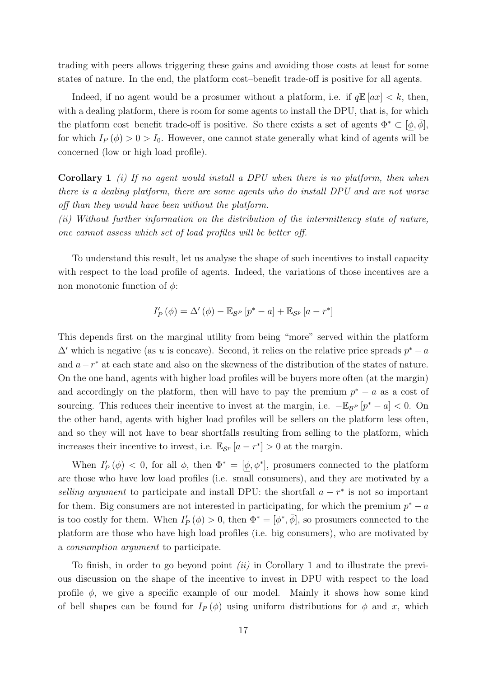trading with peers allows triggering these gains and avoiding those costs at least for some states of nature. In the end, the platform cost–benefit trade-off is positive for all agents.

Indeed, if no agent would be a prosumer without a platform, i.e. if  $q\mathbb{E}[ax] < k$ , then, with a dealing platform, there is room for some agents to install the DPU, that is, for which the platform cost–benefit trade-off is positive. So there exists a set of agents  $\Phi^* \subset [\phi, \phi]$ , for which  $I_P(\phi) > 0 > I_0$ . However, one cannot state generally what kind of agents will be concerned (low or high load profile).

**Corollary 1** (i) If no agent would install a DPU when there is no platform, then when there is a dealing platform, there are some agents who do install DPU and are not worse off than they would have been without the platform.

(ii) Without further information on the distribution of the intermittency state of nature, one cannot assess which set of load profiles will be better off.

To understand this result, let us analyse the shape of such incentives to install capacity with respect to the load profile of agents. Indeed, the variations of those incentives are a non monotonic function of  $\phi$ :

$$
I'_{P}(\phi) = \Delta'(\phi) - \mathbb{E}_{\mathcal{B}^{P}}[p^{*} - a] + \mathbb{E}_{\mathcal{S}^{P}}[a - r^{*}]
$$

This depends first on the marginal utility from being "more" served within the platform  $\Delta'$  which is negative (as u is concave). Second, it relies on the relative price spreads  $p^* - a$ and  $a-r^*$  at each state and also on the skewness of the distribution of the states of nature. On the one hand, agents with higher load profiles will be buyers more often (at the margin) and accordingly on the platform, then will have to pay the premium  $p^* - a$  as a cost of sourcing. This reduces their incentive to invest at the margin, i.e.  $-\mathbb{E}_{\mathcal{B}^P}[p^*-a] < 0$ . On the other hand, agents with higher load profiles will be sellers on the platform less often, and so they will not have to bear shortfalls resulting from selling to the platform, which increases their incentive to invest, i.e.  $\mathbb{E}_{\mathcal{S}^p}[a - r^*] > 0$  at the margin.

When  $I'_{P}(\phi) < 0$ , for all  $\phi$ , then  $\Phi^* = [\phi, \phi^*]$ , prosumers connected to the platform are those who have low load profiles (i.e. small consumers), and they are motivated by a selling argument to participate and install DPU: the shortfall  $a - r^*$  is not so important for them. Big consumers are not interested in participating, for which the premium  $p^* - a$ is too costly for them. When  $I'_{P}(\phi) > 0$ , then  $\Phi^* = [\phi^*, \overline{\phi}]$ , so prosumers connected to the platform are those who have high load profiles (i.e. big consumers), who are motivated by a consumption argument to participate.

To finish, in order to go beyond point  $(ii)$  in Corollary 1 and to illustrate the previous discussion on the shape of the incentive to invest in DPU with respect to the load profile  $\phi$ , we give a specific example of our model. Mainly it shows how some kind of bell shapes can be found for  $I_P(\phi)$  using uniform distributions for  $\phi$  and x, which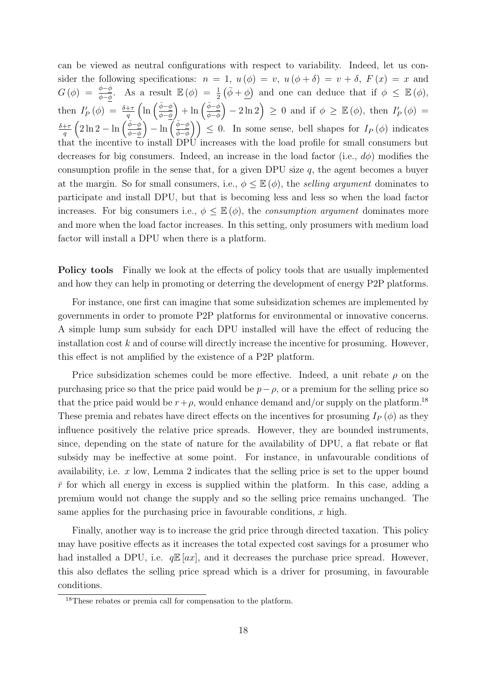can be viewed as neutral configurations with respect to variability. Indeed, let us consider the following specifications:  $n = 1$ ,  $u(\phi) = v$ ,  $u(\phi + \delta) = v + \delta$ ,  $F(x) = x$  and  $G(\phi) = \frac{\phi - \phi}{\phi - \phi}$ . As a result  $\mathbb{E}(\phi) = \frac{1}{2}(\bar{\phi} + \underline{\phi})$  and one can deduce that if  $\phi \leq \mathbb{E}(\phi)$ , then  $I'_{P}(\phi) = \frac{\delta + \tau}{q} \left( \ln \left( \frac{\bar{\phi} - \phi}{\phi - \bar{\phi}} \right) \right)$  $\left(\frac{\bar{\phi}-\phi}{\phi-\phi}\right) + \ln\left(\frac{\bar{\phi}-\phi}{\bar{\phi}-\phi}\right)$  $\bar{\phi}-\phi$  $(-2\ln 2) \geq 0$  and if  $\phi \geq \mathbb{E}(\phi)$ , then  $I_P'(\phi) =$  $\delta + \tau$  $\frac{1+\tau}{q}\left(2\ln 2 - \ln\left(\frac{\bar{\phi}-\phi}{\phi-\bar{\phi}}\right)\right)$  $\left(\frac{\bar{\phi}-\phi}{\phi-\phi}\right) - \ln\left(\frac{\bar{\phi}-\phi}{\bar{\phi}-\phi}\right)$  $\left(\frac{\bar{\phi}-\phi}{\bar{\phi}-\phi}\right)$   $\leq$  0. In some sense, bell shapes for  $I_P(\phi)$  indicates that the incentive to install DPU increases with the load profile for small consumers but decreases for big consumers. Indeed, an increase in the load factor (i.e.,  $d\phi$ ) modifies the consumption profile in the sense that, for a given DPU size  $q$ , the agent becomes a buyer at the margin. So for small consumers, i.e.,  $\phi \leq \mathbb{E}(\phi)$ , the selling argument dominates to participate and install DPU, but that is becoming less and less so when the load factor increases. For big consumers i.e.,  $\phi \leq \mathbb{E}(\phi)$ , the *consumption argument* dominates more and more when the load factor increases. In this setting, only prosumers with medium load factor will install a DPU when there is a platform.

Policy tools Finally we look at the effects of policy tools that are usually implemented and how they can help in promoting or deterring the development of energy P2P platforms.

For instance, one first can imagine that some subsidization schemes are implemented by governments in order to promote P2P platforms for environmental or innovative concerns. A simple lump sum subsidy for each DPU installed will have the effect of reducing the installation cost  $k$  and of course will directly increase the incentive for prosuming. However, this effect is not amplified by the existence of a P2P platform.

Price subsidization schemes could be more effective. Indeed, a unit rebate  $\rho$  on the purchasing price so that the price paid would be  $p-\rho$ , or a premium for the selling price so that the price paid would be  $r+\rho$ , would enhance demand and/or supply on the platform.<sup>18</sup> These premia and rebates have direct effects on the incentives for prosuming  $I_P(\phi)$  as they influence positively the relative price spreads. However, they are bounded instruments, since, depending on the state of nature for the availability of DPU, a flat rebate or flat subsidy may be ineffective at some point. For instance, in unfavourable conditions of availability, i.e.  $x$  low, Lemma 2 indicates that the selling price is set to the upper bound  $\bar{r}$  for which all energy in excess is supplied within the platform. In this case, adding a premium would not change the supply and so the selling price remains unchanged. The same applies for the purchasing price in favourable conditions,  $x$  high.

Finally, another way is to increase the grid price through directed taxation. This policy may have positive effects as it increases the total expected cost savings for a prosumer who had installed a DPU, i.e.  $q\mathbb{E}[ax]$ , and it decreases the purchase price spread. However, this also deflates the selling price spread which is a driver for prosuming, in favourable conditions.

<sup>&</sup>lt;sup>18</sup>These rebates or premia call for compensation to the platform.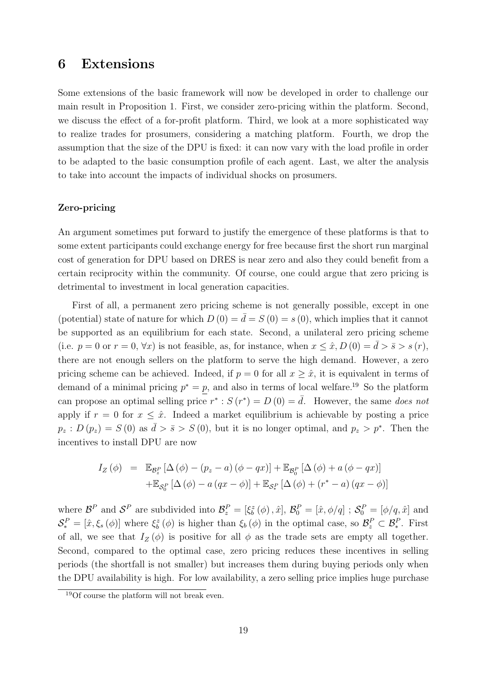## 6 Extensions

Some extensions of the basic framework will now be developed in order to challenge our main result in Proposition 1. First, we consider zero-pricing within the platform. Second, we discuss the effect of a for-profit platform. Third, we look at a more sophisticated way to realize trades for prosumers, considering a matching platform. Fourth, we drop the assumption that the size of the DPU is fixed: it can now vary with the load profile in order to be adapted to the basic consumption profile of each agent. Last, we alter the analysis to take into account the impacts of individual shocks on prosumers.

#### Zero-pricing

An argument sometimes put forward to justify the emergence of these platforms is that to some extent participants could exchange energy for free because first the short run marginal cost of generation for DPU based on DRES is near zero and also they could benefit from a certain reciprocity within the community. Of course, one could argue that zero pricing is detrimental to investment in local generation capacities.

First of all, a permanent zero pricing scheme is not generally possible, except in one (potential) state of nature for which  $D(0) = \overline{d} = S(0) = s(0)$ , which implies that it cannot be supported as an equilibrium for each state. Second, a unilateral zero pricing scheme (i.e.  $p = 0$  or  $r = 0$ ,  $\forall x$ ) is not feasible, as, for instance, when  $x \leq \hat{x}$ ,  $D(0) = \overline{d} > \overline{s} > s(r)$ , there are not enough sellers on the platform to serve the high demand. However, a zero pricing scheme can be achieved. Indeed, if  $p = 0$  for all  $x \geq \hat{x}$ , it is equivalent in terms of demand of a minimal pricing  $p^* = p$ , and also in terms of local welfare.<sup>19</sup> So the platform can propose an optimal selling price  $r^*$ :  $S(r^*) = D(0) = \overline{d}$ . However, the same does not apply if  $r = 0$  for  $x \leq \hat{x}$ . Indeed a market equilibrium is achievable by posting a price  $p_z : D(p_z) = S(0)$  as  $\overline{d} > \overline{s} > S(0)$ , but it is no longer optimal, and  $p_z > p^*$ . Then the incentives to install DPU are now

$$
I_Z(\phi) = \mathbb{E}_{\mathcal{B}_z^P} [\Delta(\phi) - (p_z - a)(\phi - qx)] + \mathbb{E}_{\mathcal{B}_0^P} [\Delta(\phi) + a(\phi - qx)]
$$
  
+ 
$$
\mathbb{E}_{\mathcal{S}_0^P} [\Delta(\phi) - a(qx - \phi)] + \mathbb{E}_{\mathcal{S}_z^P} [\Delta(\phi) + (r^* - a)(qx - \phi)]
$$

where  $\mathcal{B}^P$  and  $\mathcal{S}^P$  are subdivided into  $\mathcal{B}_z^P = [\xi_b^z(\phi), \hat{x}], \mathcal{B}_0^P = [\hat{x}, \phi/q]$ ;  $\mathcal{S}_0^P = [\phi/q, \hat{x}]$  and  $\mathcal{S}_{*}^{P} = [\hat{x}, \xi_{s}(\phi)]$  where  $\xi_{b}^{z}(\phi)$  is higher than  $\xi_{b}(\phi)$  in the optimal case, so  $\mathcal{B}_{z}^{P} \subset \mathcal{B}_{*}^{P}$ . First of all, we see that  $I_Z(\phi)$  is positive for all  $\phi$  as the trade sets are empty all together. Second, compared to the optimal case, zero pricing reduces these incentives in selling periods (the shortfall is not smaller) but increases them during buying periods only when the DPU availability is high. For low availability, a zero selling price implies huge purchase

<sup>19</sup>Of course the platform will not break even.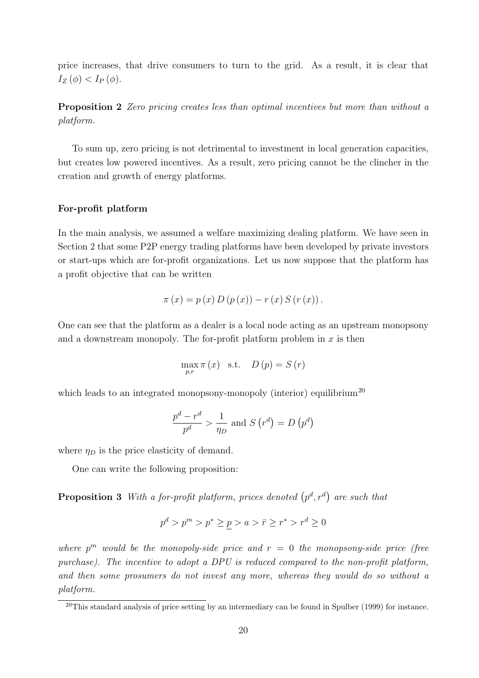price increases, that drive consumers to turn to the grid. As a result, it is clear that  $I_Z(\phi) < I_P(\phi)$ .

Proposition 2 Zero pricing creates less than optimal incentives but more than without a platform.

To sum up, zero pricing is not detrimental to investment in local generation capacities, but creates low powered incentives. As a result, zero pricing cannot be the clincher in the creation and growth of energy platforms.

#### For-profit platform

In the main analysis, we assumed a welfare maximizing dealing platform. We have seen in Section 2 that some P2P energy trading platforms have been developed by private investors or start-ups which are for-profit organizations. Let us now suppose that the platform has a profit objective that can be written

$$
\pi(x) = p(x) D (p(x)) - r(x) S (r(x)).
$$

One can see that the platform as a dealer is a local node acting as an upstream monopsony and a downstream monopoly. The for-profit platform problem in  $x$  is then

$$
\max_{p,r} \pi(x) \quad \text{s.t.} \quad D(p) = S(r)
$$

which leads to an integrated monopsony-monopoly (interior) equilibrium<sup>20</sup>

$$
\frac{p^d - r^d}{p^d} > \frac{1}{\eta_D} \text{ and } S(r^d) = D(p^d)
$$

where  $\eta_D$  is the price elasticity of demand.

One can write the following proposition:

**Proposition 3** With a for-profit platform, prices denoted  $(p^d, r^d)$  are such that

$$
p^d > p^m > p^* \ge p > a > \bar{r} \ge r^* > r^d \ge 0
$$

where  $p^m$  would be the monopoly-side price and  $r = 0$  the monopsony-side price (free purchase). The incentive to adopt a DPU is reduced compared to the non-profit platform, and then some prosumers do not invest any more, whereas they would do so without a platform.

 $20$ This standard analysis of price setting by an intermediary can be found in Spulber (1999) for instance.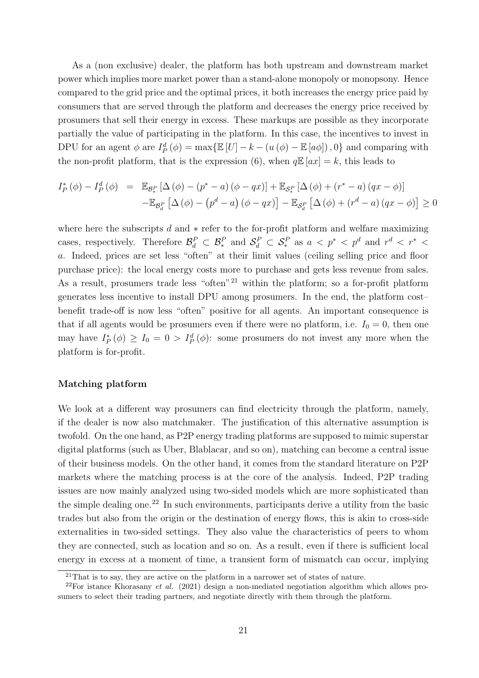As a (non exclusive) dealer, the platform has both upstream and downstream market power which implies more market power than a stand-alone monopoly or monopsony. Hence compared to the grid price and the optimal prices, it both increases the energy price paid by consumers that are served through the platform and decreases the energy price received by prosumers that sell their energy in excess. These markups are possible as they incorporate partially the value of participating in the platform. In this case, the incentives to invest in DPU for an agent  $\phi$  are  $I_P^d(\phi) = \max{\{\mathbb{E}\left[U\right] - k - \left(u\left(\phi\right) - \mathbb{E}\left[a\phi\right]\right), 0\}}$  and comparing with the non-profit platform, that is the expression (6), when  $q \mathbb{E}[ax] = k$ , this leads to

$$
I_P^* (\phi) - I_P^d (\phi) = \mathbb{E}_{\mathcal{B}_\epsilon^P} \left[ \Delta (\phi) - (p^* - a) (\phi - qx) \right] + \mathbb{E}_{\mathcal{S}_\epsilon^P} \left[ \Delta (\phi) + (r^* - a) (qx - \phi) \right]
$$

$$
- \mathbb{E}_{\mathcal{B}_d^P} \left[ \Delta (\phi) - (p^d - a) (\phi - qx) \right] - \mathbb{E}_{\mathcal{S}_d^P} \left[ \Delta (\phi) + (r^d - a) (qx - \phi) \right] \ge 0
$$

where here the subscripts  $d$  and  $*$  refer to the for-profit platform and welfare maximizing cases, respectively. Therefore  $\mathcal{B}_d^P \subset \mathcal{B}_*^P$  and  $\mathcal{S}_d^P \subset \mathcal{S}_*^P$  as  $a < p^* < p^d$  and  $r^d < r^* <$ a. Indeed, prices are set less "often" at their limit values (ceiling selling price and floor purchase price): the local energy costs more to purchase and gets less revenue from sales. As a result, prosumers trade less "often"<sup>21</sup> within the platform; so a for-profit platform generates less incentive to install DPU among prosumers. In the end, the platform cost– benefit trade-off is now less "often" positive for all agents. An important consequence is that if all agents would be prosumers even if there were no platform, i.e.  $I_0 = 0$ , then one may have  $I_P^*(\phi) \geq I_0 = 0 > I_P^d(\phi)$ : some prosumers do not invest any more when the platform is for-profit.

#### Matching platform

We look at a different way prosumers can find electricity through the platform, namely, if the dealer is now also matchmaker. The justification of this alternative assumption is twofold. On the one hand, as P2P energy trading platforms are supposed to mimic superstar digital platforms (such as Uber, Blablacar, and so on), matching can become a central issue of their business models. On the other hand, it comes from the standard literature on P2P markets where the matching process is at the core of the analysis. Indeed, P2P trading issues are now mainly analyzed using two-sided models which are more sophisticated than the simple dealing one.<sup>22</sup> In such environments, participants derive a utility from the basic trades but also from the origin or the destination of energy flows, this is akin to cross-side externalities in two-sided settings. They also value the characteristics of peers to whom they are connected, such as location and so on. As a result, even if there is sufficient local energy in excess at a moment of time, a transient form of mismatch can occur, implying

 $21$ That is to say, they are active on the platform in a narrower set of states of nature.

 $^{22}$ For istance Khorasany *et al.* (2021) design a non-mediated negotiation algorithm which allows prosumers to select their trading partners, and negotiate directly with them through the platform.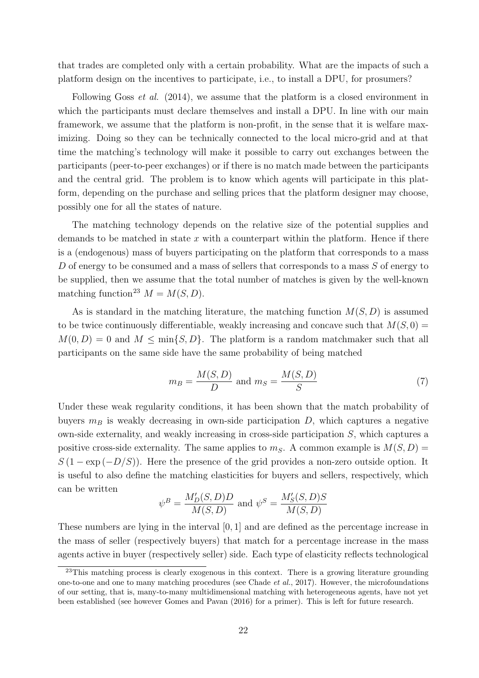that trades are completed only with a certain probability. What are the impacts of such a platform design on the incentives to participate, i.e., to install a DPU, for prosumers?

Following Goss et al. (2014), we assume that the platform is a closed environment in which the participants must declare themselves and install a DPU. In line with our main framework, we assume that the platform is non-profit, in the sense that it is welfare maximizing. Doing so they can be technically connected to the local micro-grid and at that time the matching's technology will make it possible to carry out exchanges between the participants (peer-to-peer exchanges) or if there is no match made between the participants and the central grid. The problem is to know which agents will participate in this platform, depending on the purchase and selling prices that the platform designer may choose, possibly one for all the states of nature.

The matching technology depends on the relative size of the potential supplies and demands to be matched in state  $x$  with a counterpart within the platform. Hence if there is a (endogenous) mass of buyers participating on the platform that corresponds to a mass D of energy to be consumed and a mass of sellers that corresponds to a mass S of energy to be supplied, then we assume that the total number of matches is given by the well-known matching function<sup>23</sup>  $M = M(S, D)$ .

As is standard in the matching literature, the matching function  $M(S, D)$  is assumed to be twice continuously differentiable, weakly increasing and concave such that  $M(S, 0)$  =  $M(0, D) = 0$  and  $M \le \min\{S, D\}$ . The platform is a random matchmaker such that all participants on the same side have the same probability of being matched

$$
m_B = \frac{M(S, D)}{D} \text{ and } m_S = \frac{M(S, D)}{S} \tag{7}
$$

Under these weak regularity conditions, it has been shown that the match probability of buyers  $m_B$  is weakly decreasing in own-side participation D, which captures a negative own-side externality, and weakly increasing in cross-side participation S, which captures a positive cross-side externality. The same applies to  $m<sub>S</sub>$ . A common example is  $M(S, D)$  =  $S(1 - \exp(-D/S))$ . Here the presence of the grid provides a non-zero outside option. It is useful to also define the matching elasticities for buyers and sellers, respectively, which can be written

$$
\psi^B = \frac{M'_D(S, D)D}{M(S, D)}
$$
 and 
$$
\psi^S = \frac{M'_S(S, D)S}{M(S, D)}
$$

These numbers are lying in the interval [0, 1] and are defined as the percentage increase in the mass of seller (respectively buyers) that match for a percentage increase in the mass agents active in buyer (respectively seller) side. Each type of elasticity reflects technological

<sup>&</sup>lt;sup>23</sup>This matching process is clearly exogenous in this context. There is a growing literature grounding one-to-one and one to many matching procedures (see Chade et al., 2017). However, the microfoundations of our setting, that is, many-to-many multidimensional matching with heterogeneous agents, have not yet been established (see however Gomes and Pavan (2016) for a primer). This is left for future research.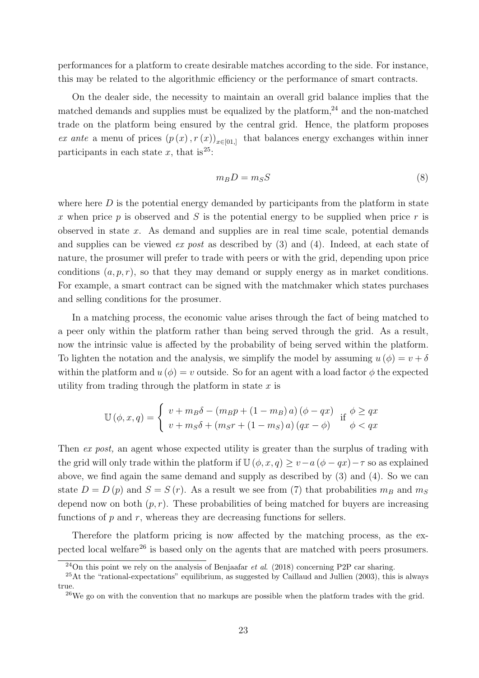performances for a platform to create desirable matches according to the side. For instance, this may be related to the algorithmic efficiency or the performance of smart contracts.

On the dealer side, the necessity to maintain an overall grid balance implies that the matched demands and supplies must be equalized by the platform, $^{24}$  and the non-matched trade on the platform being ensured by the central grid. Hence, the platform proposes ex ante a menu of prices  $(p(x), r(x))_{x\in[0,1]}$  that balances energy exchanges within inner participants in each state x, that is<sup>25</sup>:

$$
m_B D = m_S S \tag{8}
$$

where here  $D$  is the potential energy demanded by participants from the platform in state x when price p is observed and S is the potential energy to be supplied when price r is observed in state  $x$ . As demand and supplies are in real time scale, potential demands and supplies can be viewed *ex post* as described by  $(3)$  and  $(4)$ . Indeed, at each state of nature, the prosumer will prefer to trade with peers or with the grid, depending upon price conditions  $(a, p, r)$ , so that they may demand or supply energy as in market conditions. For example, a smart contract can be signed with the matchmaker which states purchases and selling conditions for the prosumer.

In a matching process, the economic value arises through the fact of being matched to a peer only within the platform rather than being served through the grid. As a result, now the intrinsic value is affected by the probability of being served within the platform. To lighten the notation and the analysis, we simplify the model by assuming  $u(\phi) = v + \delta$ within the platform and  $u(\phi) = v$  outside. So for an agent with a load factor  $\phi$  the expected utility from trading through the platform in state  $x$  is

$$
\mathbb{U}(\phi, x, q) = \begin{cases} v + m_B \delta - (m_B p + (1 - m_B) a) (\phi - qx) & \text{if } \phi \ge qx \\ v + m_S \delta + (m_S r + (1 - m_S) a) (qx - \phi) & \phi < qx \end{cases}
$$

Then ex post, an agent whose expected utility is greater than the surplus of trading with the grid will only trade within the platform if  $\mathbb{U}(\phi, x, q) \geq v - a(\phi - qx) - \tau$  so as explained above, we find again the same demand and supply as described by (3) and (4). So we can state  $D = D(p)$  and  $S = S(r)$ . As a result we see from (7) that probabilities  $m_B$  and  $m_S$ depend now on both  $(p, r)$ . These probabilities of being matched for buyers are increasing functions of  $p$  and  $r$ , whereas they are decreasing functions for sellers.

Therefore the platform pricing is now affected by the matching process, as the expected local welfare<sup>26</sup> is based only on the agents that are matched with peers prosumers.

<sup>&</sup>lt;sup>24</sup>On this point we rely on the analysis of Benjaafar *et al.* (2018) concerning P2P car sharing.

 $^{25}$ At the "rational-expectations" equilibrium, as suggested by Caillaud and Jullien (2003), this is always true

<sup>&</sup>lt;sup>26</sup>We go on with the convention that no markups are possible when the platform trades with the grid.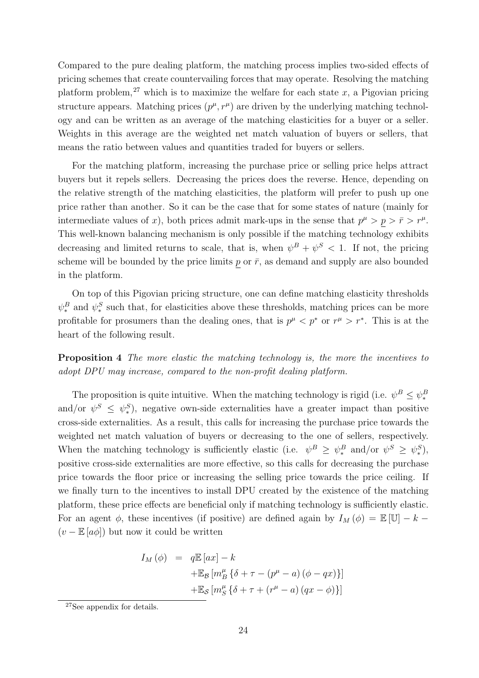Compared to the pure dealing platform, the matching process implies two-sided effects of pricing schemes that create countervailing forces that may operate. Resolving the matching platform problem,<sup>27</sup> which is to maximize the welfare for each state x, a Pigovian pricing structure appears. Matching prices  $(p^{\mu}, r^{\mu})$  are driven by the underlying matching technology and can be written as an average of the matching elasticities for a buyer or a seller. Weights in this average are the weighted net match valuation of buyers or sellers, that means the ratio between values and quantities traded for buyers or sellers.

For the matching platform, increasing the purchase price or selling price helps attract buyers but it repels sellers. Decreasing the prices does the reverse. Hence, depending on the relative strength of the matching elasticities, the platform will prefer to push up one price rather than another. So it can be the case that for some states of nature (mainly for intermediate values of x), both prices admit mark-ups in the sense that  $p^{\mu} > p > \bar{r} > r^{\mu}$ . This well-known balancing mechanism is only possible if the matching technology exhibits decreasing and limited returns to scale, that is, when  $\psi^B + \psi^S < 1$ . If not, the pricing scheme will be bounded by the price limits p or  $\bar{r}$ , as demand and supply are also bounded in the platform.

On top of this Pigovian pricing structure, one can define matching elasticity thresholds  $\psi_*^B$  and  $\psi_*^S$  such that, for elasticities above these thresholds, matching prices can be more profitable for prosumers than the dealing ones, that is  $p^{\mu} < p^*$  or  $r^{\mu} > r^*$ . This is at the heart of the following result.

Proposition 4 The more elastic the matching technology is, the more the incentives to adopt DPU may increase, compared to the non-profit dealing platform.

The proposition is quite intuitive. When the matching technology is rigid (i.e.  $\psi^B \leq \psi_*^B$ and/or  $\psi^S \leq \psi^S_*$ , negative own-side externalities have a greater impact than positive cross-side externalities. As a result, this calls for increasing the purchase price towards the weighted net match valuation of buyers or decreasing to the one of sellers, respectively. When the matching technology is sufficiently elastic (i.e.  $\psi^B \geq \psi_*^B$  and/or  $\psi^S \geq \psi_*^S$ ), positive cross-side externalities are more effective, so this calls for decreasing the purchase price towards the floor price or increasing the selling price towards the price ceiling. If we finally turn to the incentives to install DPU created by the existence of the matching platform, these price effects are beneficial only if matching technology is sufficiently elastic. For an agent  $\phi$ , these incentives (if positive) are defined again by  $I_M(\phi) = \mathbb{E}[\mathbb{U}] - k (v - \mathbb{E}[a\phi])$  but now it could be written

$$
I_M(\phi) = q \mathbb{E} [ax] - k
$$
  
+
$$
\mathbb{E}_{\mathcal{B}} [m_B^{\mu} {\delta + \tau - (p^{\mu} - a) (\phi - qx)}]
$$
  
+
$$
\mathbb{E}_{\mathcal{S}} [m_S^{\mu} {\delta + \tau + (r^{\mu} - a) (qx - \phi)}]
$$

<sup>27</sup>See appendix for details.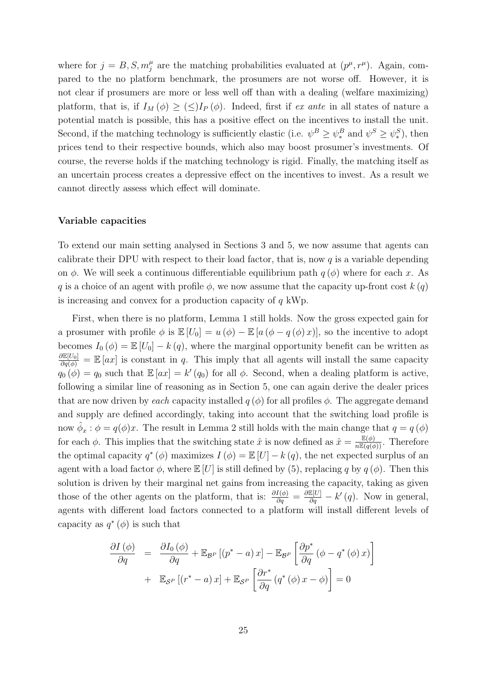where for  $j = B, S, m_j^{\mu}$  are the matching probabilities evaluated at  $(p^{\mu}, r^{\mu})$ . Again, compared to the no platform benchmark, the prosumers are not worse off. However, it is not clear if prosumers are more or less well off than with a dealing (welfare maximizing) platform, that is, if  $I_M(\phi) \geq (\leq)I_P(\phi)$ . Indeed, first if ex ante in all states of nature a potential match is possible, this has a positive effect on the incentives to install the unit. Second, if the matching technology is sufficiently elastic (i.e.  $\psi^B \ge \psi_*^B$  and  $\psi^S \ge \psi_*^S$ ), then prices tend to their respective bounds, which also may boost prosumer's investments. Of course, the reverse holds if the matching technology is rigid. Finally, the matching itself as an uncertain process creates a depressive effect on the incentives to invest. As a result we cannot directly assess which effect will dominate.

#### Variable capacities

To extend our main setting analysed in Sections 3 and 5, we now assume that agents can calibrate their DPU with respect to their load factor, that is, now  $q$  is a variable depending on  $\phi$ . We will seek a continuous differentiable equilibrium path  $q(\phi)$  where for each x. As q is a choice of an agent with profile  $\phi$ , we now assume that the capacity up-front cost  $k(q)$ is increasing and convex for a production capacity of  $q$  kWp.

First, when there is no platform, Lemma 1 still holds. Now the gross expected gain for a prosumer with profile  $\phi$  is  $\mathbb{E}[U_0] = u(\phi) - \mathbb{E}[a(\phi - q(\phi)x)]$ , so the incentive to adopt becomes  $I_0(\phi) = \mathbb{E}[U_0] - k(q)$ , where the marginal opportunity benefit can be written as  $\frac{\partial \mathbb{E}[U_0]}{\partial q(\phi)} = \mathbb{E}[ax]$  is constant in q. This imply that all agents will install the same capacity  $q_0(\phi) = q_0$  such that  $\mathbb{E}[ax] = k'(q_0)$  for all  $\phi$ . Second, when a dealing platform is active, following a similar line of reasoning as in Section 5, one can again derive the dealer prices that are now driven by each capacity installed  $q(\phi)$  for all profiles  $\phi$ . The aggregate demand and supply are defined accordingly, taking into account that the switching load profile is now  $\hat{\phi}_x : \phi = q(\phi)x$ . The result in Lemma 2 still holds with the main change that  $q = q(\phi)$ for each  $\phi$ . This implies that the switching state  $\hat{x}$  is now defined as  $\hat{x} = \frac{\mathbb{E}(\phi)}{n\mathbb{E}(q(\phi))}$ . Therefore the optimal capacity  $q^*(\phi)$  maximizes  $I(\phi) = \mathbb{E}[U] - k(q)$ , the net expected surplus of an agent with a load factor  $\phi$ , where  $\mathbb{E}[U]$  is still defined by (5), replacing q by  $q(\phi)$ . Then this solution is driven by their marginal net gains from increasing the capacity, taking as given those of the other agents on the platform, that is:  $\frac{\partial I(\phi)}{\partial q} = \frac{\partial \mathbb{E}[U]}{\partial q} - k'(q)$ . Now in general, agents with different load factors connected to a platform will install different levels of capacity as  $q^*(\phi)$  is such that

$$
\frac{\partial I(\phi)}{\partial q} = \frac{\partial I_0(\phi)}{\partial q} + \mathbb{E}_{\mathcal{B}^P} [(p^* - a) x] - \mathbb{E}_{\mathcal{B}^P} \left[ \frac{\partial p^*}{\partial q} (\phi - q^* (\phi) x) \right]
$$

$$
+ \mathbb{E}_{\mathcal{S}^P} [(r^* - a) x] + \mathbb{E}_{\mathcal{S}^P} \left[ \frac{\partial r^*}{\partial q} (q^* (\phi) x - \phi) \right] = 0
$$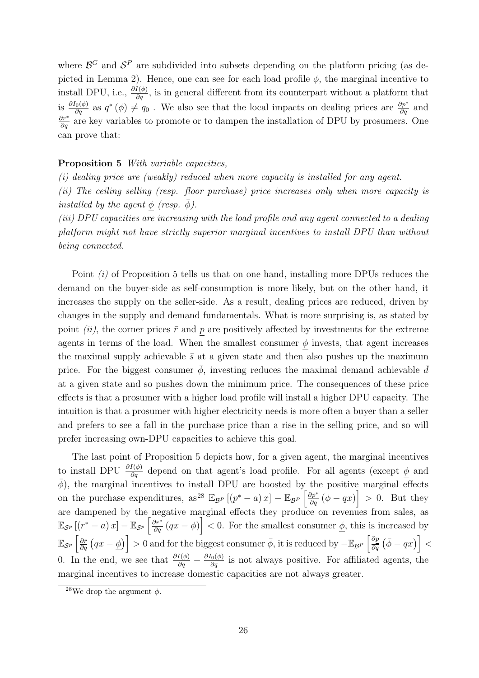where  $\mathcal{B}^G$  and  $\mathcal{S}^P$  are subdivided into subsets depending on the platform pricing (as depicted in Lemma 2). Hence, one can see for each load profile  $\phi$ , the marginal incentive to install DPU, i.e.,  $\frac{\partial I(\phi)}{\partial q}$ , is in general different from its counterpart without a platform that is  $\frac{\partial I_0(\phi)}{\partial q}$  as  $q^*(\phi) \neq q_0$ . We also see that the local impacts on dealing prices are  $\frac{\partial p^*}{\partial q}$  and  $\frac{\partial r^*}{\partial q}$  are key variables to promote or to dampen the installation of DPU by prosumers. One can prove that:

#### Proposition 5 With variable capacities,

(i) dealing price are (weakly) reduced when more capacity is installed for any agent. (ii) The ceiling selling (resp. floor purchase) price increases only when more capacity is installed by the agent  $\phi$  (resp.  $\overline{\phi}$ ).

(iii) DPU capacities are increasing with the load profile and any agent connected to a dealing platform might not have strictly superior marginal incentives to install DPU than without being connected.

Point (i) of Proposition 5 tells us that on one hand, installing more DPUs reduces the demand on the buyer-side as self-consumption is more likely, but on the other hand, it increases the supply on the seller-side. As a result, dealing prices are reduced, driven by changes in the supply and demand fundamentals. What is more surprising is, as stated by point *(ii)*, the corner prices  $\bar{r}$  and p are positively affected by investments for the extreme agents in terms of the load. When the smallest consumer  $\phi$  invests, that agent increases the maximal supply achievable  $\bar{s}$  at a given state and then also pushes up the maximum price. For the biggest consumer  $\bar{\phi}$ , investing reduces the maximal demand achievable  $\bar{d}$ at a given state and so pushes down the minimum price. The consequences of these price effects is that a prosumer with a higher load profile will install a higher DPU capacity. The intuition is that a prosumer with higher electricity needs is more often a buyer than a seller and prefers to see a fall in the purchase price than a rise in the selling price, and so will prefer increasing own-DPU capacities to achieve this goal.

The last point of Proposition 5 depicts how, for a given agent, the marginal incentives to install DPU  $\frac{\partial I(\phi)}{\partial q}$  depend on that agent's load profile. For all agents (except  $\phi$  and  $\bar{\phi}$ ), the marginal incentives to install DPU are boosted by the positive marginal effects on the purchase expenditures, as<sup>28</sup>  $\mathbb{E}_{\mathcal{B}^P}[(p^*-a)x] - \mathbb{E}_{\mathcal{B}^P} \left[\frac{\partial p^*}{\partial q}(\phi - qx)\right] > 0$ . But they are dampened by the negative marginal effects they produce on revenues from sales, as  $\mathbb{E}_{\mathcal{S}^p}\left[\left(r^*-a\right)x\right]-\mathbb{E}_{\mathcal{S}^p}\left[\frac{\partial r^*}{\partial q}\left(qx-\phi\right)\right]<0.$  For the smallest consumer  $\underline{\phi}$ , this is increased by  $\mathbb{E}_{\mathcal{S}^p}\left[\frac{\partial \bar{r}}{\partial q}\left(qx-\underline{\phi}\right)\right]>0$  and for the biggest consumer  $\bar{\phi}$ , it is reduced by  $-\mathbb{E}_{\mathcal{B}^P}\left[\frac{\partial p}{\partial q}\left(\bar{\phi}-qx\right)\right]<$ 0. In the end, we see that  $\frac{\partial I(\phi)}{\partial q} - \frac{\partial I_0(\phi)}{\partial q}$  is not always positive. For affiliated agents, the marginal incentives to increase domestic capacities are not always greater.

<sup>&</sup>lt;sup>28</sup>We drop the argument  $\phi$ .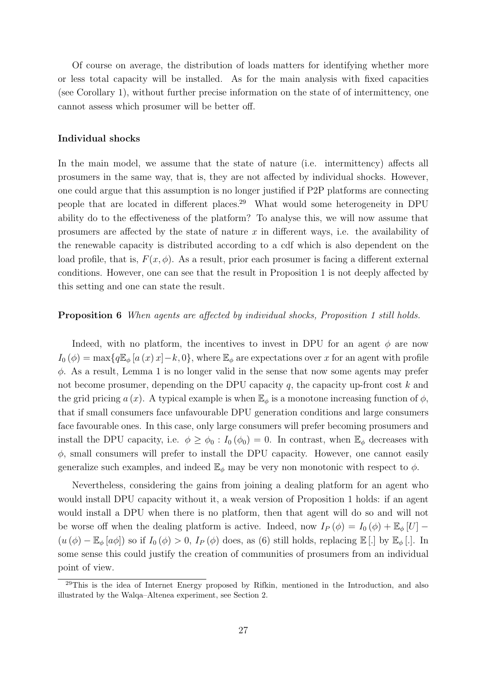Of course on average, the distribution of loads matters for identifying whether more or less total capacity will be installed. As for the main analysis with fixed capacities (see Corollary 1), without further precise information on the state of of intermittency, one cannot assess which prosumer will be better off.

#### Individual shocks

In the main model, we assume that the state of nature (i.e. intermittency) affects all prosumers in the same way, that is, they are not affected by individual shocks. However, one could argue that this assumption is no longer justified if P2P platforms are connecting people that are located in different places.<sup>29</sup> What would some heterogeneity in DPU ability do to the effectiveness of the platform? To analyse this, we will now assume that prosumers are affected by the state of nature  $x$  in different ways, i.e. the availability of the renewable capacity is distributed according to a cdf which is also dependent on the load profile, that is,  $F(x, \phi)$ . As a result, prior each prosumer is facing a different external conditions. However, one can see that the result in Proposition 1 is not deeply affected by this setting and one can state the result.

#### Proposition 6 When agents are affected by individual shocks, Proposition 1 still holds.

Indeed, with no platform, the incentives to invest in DPU for an agent  $\phi$  are now  $I_0(\phi) = \max\{q\mathbb{E}_{\phi} [a(x),x] - k, 0\}$ , where  $\mathbb{E}_{\phi}$  are expectations over x for an agent with profile  $\phi$ . As a result, Lemma 1 is no longer valid in the sense that now some agents may prefer not become prosumer, depending on the DPU capacity  $q$ , the capacity up-front cost  $k$  and the grid pricing a (x). A typical example is when  $\mathbb{E}_{\phi}$  is a monotone increasing function of  $\phi$ . that if small consumers face unfavourable DPU generation conditions and large consumers face favourable ones. In this case, only large consumers will prefer becoming prosumers and install the DPU capacity, i.e.  $\phi \ge \phi_0 : I_0(\phi_0) = 0$ . In contrast, when  $\mathbb{E}_{\phi}$  decreases with  $\phi$ , small consumers will prefer to install the DPU capacity. However, one cannot easily generalize such examples, and indeed  $\mathbb{E}_{\phi}$  may be very non monotonic with respect to  $\phi$ .

Nevertheless, considering the gains from joining a dealing platform for an agent who would install DPU capacity without it, a weak version of Proposition 1 holds: if an agent would install a DPU when there is no platform, then that agent will do so and will not be worse off when the dealing platform is active. Indeed, now  $I_P(\phi) = I_0(\phi) + \mathbb{E}_{\phi}[U]$  $(u(\phi) - \mathbb{E}_{\phi}[a\phi])$  so if  $I_0(\phi) > 0$ ,  $I_P(\phi)$  does, as (6) still holds, replacing  $\mathbb{E}[\cdot]$  by  $\mathbb{E}_{\phi}[\cdot]$ . In some sense this could justify the creation of communities of prosumers from an individual point of view.

<sup>&</sup>lt;sup>29</sup>This is the idea of Internet Energy proposed by Rifkin, mentioned in the Introduction, and also illustrated by the Walqa–Altenea experiment, see Section 2.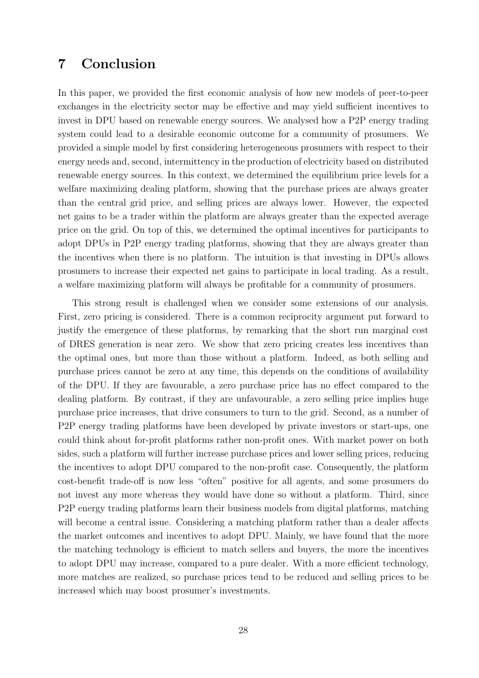# 7 Conclusion

In this paper, we provided the first economic analysis of how new models of peer-to-peer exchanges in the electricity sector may be effective and may yield sufficient incentives to invest in DPU based on renewable energy sources. We analysed how a P2P energy trading system could lead to a desirable economic outcome for a community of prosumers. We provided a simple model by first considering heterogeneous prosumers with respect to their energy needs and, second, intermittency in the production of electricity based on distributed renewable energy sources. In this context, we determined the equilibrium price levels for a welfare maximizing dealing platform, showing that the purchase prices are always greater than the central grid price, and selling prices are always lower. However, the expected net gains to be a trader within the platform are always greater than the expected average price on the grid. On top of this, we determined the optimal incentives for participants to adopt DPUs in P2P energy trading platforms, showing that they are always greater than the incentives when there is no platform. The intuition is that investing in DPUs allows prosumers to increase their expected net gains to participate in local trading. As a result, a welfare maximizing platform will always be profitable for a community of prosumers.

This strong result is challenged when we consider some extensions of our analysis. First, zero pricing is considered. There is a common reciprocity argument put forward to justify the emergence of these platforms, by remarking that the short run marginal cost of DRES generation is near zero. We show that zero pricing creates less incentives than the optimal ones, but more than those without a platform. Indeed, as both selling and purchase prices cannot be zero at any time, this depends on the conditions of availability of the DPU. If they are favourable, a zero purchase price has no effect compared to the dealing platform. By contrast, if they are unfavourable, a zero selling price implies huge purchase price increases, that drive consumers to turn to the grid. Second, as a number of P2P energy trading platforms have been developed by private investors or start-ups, one could think about for-profit platforms rather non-profit ones. With market power on both sides, such a platform will further increase purchase prices and lower selling prices, reducing the incentives to adopt DPU compared to the non-profit case. Consequently, the platform cost-benefit trade-off is now less "often" positive for all agents, and some prosumers do not invest any more whereas they would have done so without a platform. Third, since P2P energy trading platforms learn their business models from digital platforms, matching will become a central issue. Considering a matching platform rather than a dealer affects the market outcomes and incentives to adopt DPU. Mainly, we have found that the more the matching technology is efficient to match sellers and buyers, the more the incentives to adopt DPU may increase, compared to a pure dealer. With a more efficient technology, more matches are realized, so purchase prices tend to be reduced and selling prices to be increased which may boost prosumer's investments.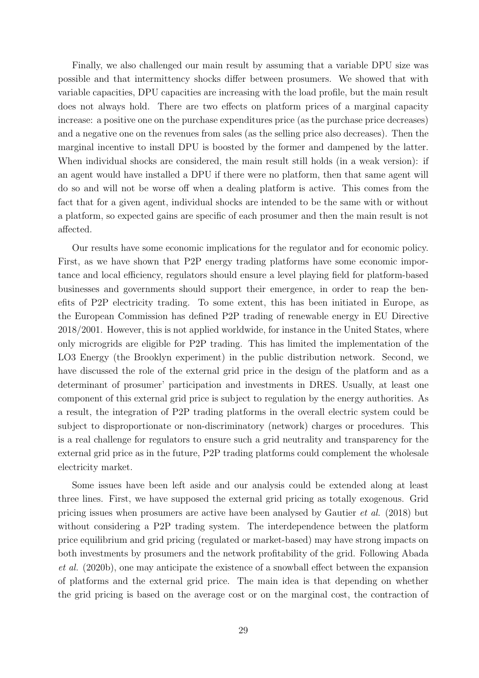Finally, we also challenged our main result by assuming that a variable DPU size was possible and that intermittency shocks differ between prosumers. We showed that with variable capacities, DPU capacities are increasing with the load profile, but the main result does not always hold. There are two effects on platform prices of a marginal capacity increase: a positive one on the purchase expenditures price (as the purchase price decreases) and a negative one on the revenues from sales (as the selling price also decreases). Then the marginal incentive to install DPU is boosted by the former and dampened by the latter. When individual shocks are considered, the main result still holds (in a weak version): if an agent would have installed a DPU if there were no platform, then that same agent will do so and will not be worse off when a dealing platform is active. This comes from the fact that for a given agent, individual shocks are intended to be the same with or without a platform, so expected gains are specific of each prosumer and then the main result is not affected.

Our results have some economic implications for the regulator and for economic policy. First, as we have shown that P2P energy trading platforms have some economic importance and local efficiency, regulators should ensure a level playing field for platform-based businesses and governments should support their emergence, in order to reap the benefits of P2P electricity trading. To some extent, this has been initiated in Europe, as the European Commission has defined P2P trading of renewable energy in EU Directive 2018/2001. However, this is not applied worldwide, for instance in the United States, where only microgrids are eligible for P2P trading. This has limited the implementation of the LO3 Energy (the Brooklyn experiment) in the public distribution network. Second, we have discussed the role of the external grid price in the design of the platform and as a determinant of prosumer' participation and investments in DRES. Usually, at least one component of this external grid price is subject to regulation by the energy authorities. As a result, the integration of P2P trading platforms in the overall electric system could be subject to disproportionate or non-discriminatory (network) charges or procedures. This is a real challenge for regulators to ensure such a grid neutrality and transparency for the external grid price as in the future, P2P trading platforms could complement the wholesale electricity market.

Some issues have been left aside and our analysis could be extended along at least three lines. First, we have supposed the external grid pricing as totally exogenous. Grid pricing issues when prosumers are active have been analysed by Gautier et al. (2018) but without considering a P2P trading system. The interdependence between the platform price equilibrium and grid pricing (regulated or market-based) may have strong impacts on both investments by prosumers and the network profitability of the grid. Following Abada et al. (2020b), one may anticipate the existence of a snowball effect between the expansion of platforms and the external grid price. The main idea is that depending on whether the grid pricing is based on the average cost or on the marginal cost, the contraction of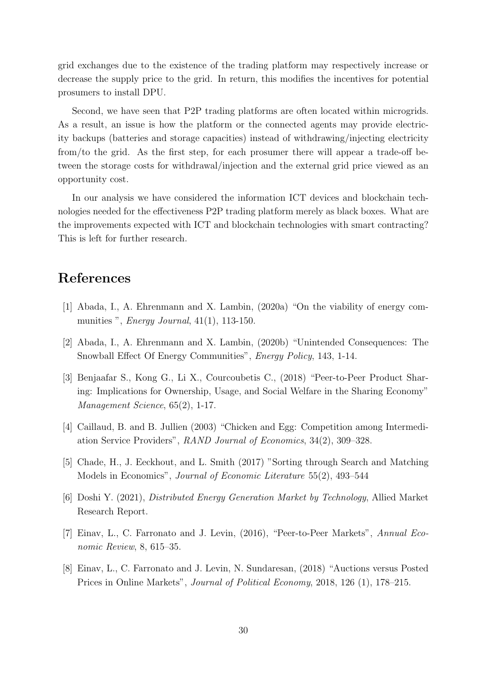grid exchanges due to the existence of the trading platform may respectively increase or decrease the supply price to the grid. In return, this modifies the incentives for potential prosumers to install DPU.

Second, we have seen that P2P trading platforms are often located within microgrids. As a result, an issue is how the platform or the connected agents may provide electricity backups (batteries and storage capacities) instead of withdrawing/injecting electricity from/to the grid. As the first step, for each prosumer there will appear a trade-off between the storage costs for withdrawal/injection and the external grid price viewed as an opportunity cost.

In our analysis we have considered the information ICT devices and blockchain technologies needed for the effectiveness P2P trading platform merely as black boxes. What are the improvements expected with ICT and blockchain technologies with smart contracting? This is left for further research.

## References

- [1] Abada, I., A. Ehrenmann and X. Lambin, (2020a) "On the viability of energy communities ", *Energy Journal*, 41(1), 113-150.
- [2] Abada, I., A. Ehrenmann and X. Lambin, (2020b) "Unintended Consequences: The Snowball Effect Of Energy Communities", *Energy Policy*, 143, 1-14.
- [3] Benjaafar S., Kong G., Li X., Courcoubetis C., (2018) "Peer-to-Peer Product Sharing: Implications for Ownership, Usage, and Social Welfare in the Sharing Economy" Management Science, 65(2), 1-17.
- [4] Caillaud, B. and B. Jullien (2003) "Chicken and Egg: Competition among Intermediation Service Providers", RAND Journal of Economics, 34(2), 309–328.
- [5] Chade, H., J. Eeckhout, and L. Smith (2017) "Sorting through Search and Matching Models in Economics", Journal of Economic Literature 55(2), 493–544
- [6] Doshi Y. (2021), Distributed Energy Generation Market by Technology, Allied Market Research Report.
- [7] Einav, L., C. Farronato and J. Levin, (2016), "Peer-to-Peer Markets", Annual Economic Review, 8, 615–35.
- [8] Einav, L., C. Farronato and J. Levin, N. Sundaresan, (2018) "Auctions versus Posted Prices in Online Markets", Journal of Political Economy, 2018, 126 (1), 178–215.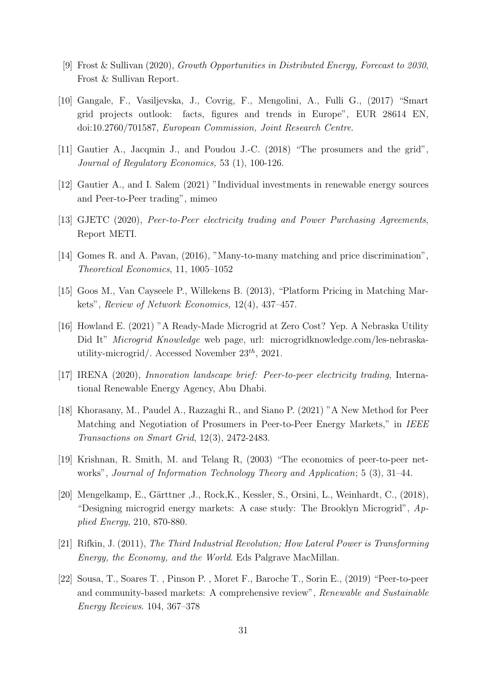- [9] Frost & Sullivan (2020), Growth Opportunities in Distributed Energy, Forecast to 2030, Frost & Sullivan Report.
- [10] Gangale, F., Vasiljevska, J., Covrig, F., Mengolini, A., Fulli G., (2017) "Smart grid projects outlook: facts, figures and trends in Europe", EUR 28614 EN, doi:10.2760/701587, European Commission, Joint Research Centre.
- [11] Gautier A., Jacqmin J., and Poudou J.-C. (2018) "The prosumers and the grid", Journal of Regulatory Economics, 53 (1), 100-126.
- [12] Gautier A., and I. Salem (2021) "Individual investments in renewable energy sources and Peer-to-Peer trading", mimeo
- [13] GJETC (2020), Peer-to-Peer electricity trading and Power Purchasing Agreements, Report METI.
- [14] Gomes R. and A. Pavan, (2016), "Many-to-many matching and price discrimination", Theoretical Economics, 11, 1005–1052
- [15] Goos M., Van Cayseele P., Willekens B. (2013), "Platform Pricing in Matching Markets", Review of Network Economics, 12(4), 437–457.
- [16] Howland E. (2021) "A Ready-Made Microgrid at Zero Cost? Yep. A Nebraska Utility Did It" Microgrid Knowledge web page, url: microgridknowledge.com/les-nebraskautility-microgrid/. Accessed November  $23<sup>th</sup>$ , 2021.
- [17] IRENA (2020), Innovation landscape brief: Peer-to-peer electricity trading, International Renewable Energy Agency, Abu Dhabi.
- [18] Khorasany, M., Paudel A., Razzaghi R., and Siano P. (2021) "A New Method for Peer Matching and Negotiation of Prosumers in Peer-to-Peer Energy Markets," in IEEE Transactions on Smart Grid, 12(3), 2472-2483.
- [19] Krishnan, R. Smith, M. and Telang R, (2003) "The economics of peer-to-peer networks", Journal of Information Technology Theory and Application; 5 (3), 31–44.
- [20] Mengelkamp, E., Gärttner ,J., Rock,K., Kessler, S., Orsini, L., Weinhardt, C., (2018), "Designing microgrid energy markets: A case study: The Brooklyn Microgrid",  $Ap$ plied Energy, 210, 870-880.
- [21] Rifkin, J. (2011), The Third Industrial Revolution; How Lateral Power is Transforming Energy, the Economy, and the World. Eds Palgrave MacMillan.
- [22] Sousa, T., Soares T. , Pinson P. , Moret F., Baroche T., Sorin E., (2019) "Peer-to-peer and community-based markets: A comprehensive review", Renewable and Sustainable Energy Reviews. 104, 367–378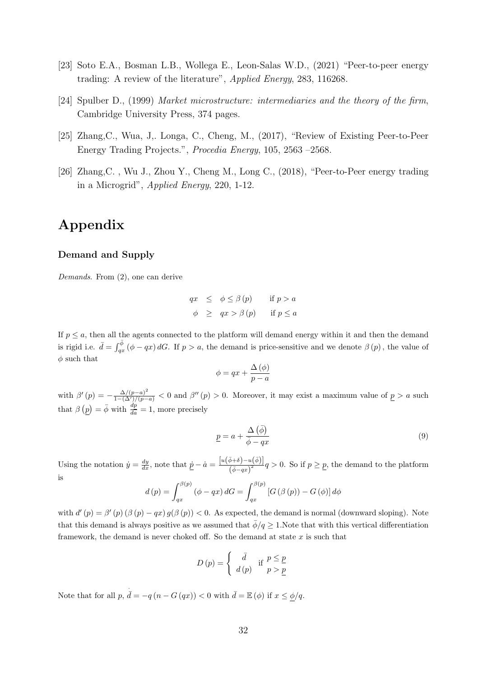- [23] Soto E.A., Bosman L.B., Wollega E., Leon-Salas W.D., (2021) "Peer-to-peer energy trading: A review of the literature", Applied Energy, 283, 116268.
- [24] Spulber D., (1999) Market microstructure: intermediaries and the theory of the firm, Cambridge University Press, 374 pages.
- [25] Zhang,C., Wua, J,. Longa, C., Cheng, M., (2017), "Review of Existing Peer-to-Peer Energy Trading Projects.", Procedia Energy, 105, 2563 –2568.
- [26] Zhang,C. , Wu J., Zhou Y., Cheng M., Long C., (2018), "Peer-to-Peer energy trading in a Microgrid", Applied Energy, 220, 1-12.

# Appendix

#### Demand and Supply

Demands. From (2), one can derive

$$
qx \leq \phi \leq \beta(p) \quad \text{if } p > a
$$
  

$$
\phi \geq qx > \beta(p) \quad \text{if } p \leq a
$$

If  $p \leq a$ , then all the agents connected to the platform will demand energy within it and then the demand is rigid i.e.  $\bar{d} = \int_{qx}^{\bar{\phi}} (\phi - qx) dG$ . If  $p > a$ , the demand is price-sensitive and we denote  $\beta(p)$ , the value of  $\phi$  such that

$$
\phi = qx + \frac{\Delta(\phi)}{p-a}
$$

with  $\beta'(p) = -\frac{\Delta/(p-a)^2}{1-(\Delta')/(p-a)} < 0$  and  $\beta''(p) > 0$ . Moreover, it may exist a maximum value of  $p > a$  such that  $\beta(p) = \bar{\phi}$  with  $\frac{dp}{d\bar{a}} = 1$ , more precisely

$$
\underline{p} = a + \frac{\Delta(\bar{\phi})}{\bar{\phi} - qx} \tag{9}
$$

Using the notation  $\dot{y} = \frac{dy}{dx}$ , note that  $\underline{\dot{p}} - \dot{a} = \frac{[u(\overline{\phi}+\delta)-u(\overline{\phi})]}{(\overline{\phi}-a\tau)^2}$  $\frac{\partial^{\varphi+\sigma}y=a(\psi)}{\overline{(\phi-qx)}^2}q>0.$  So if  $p\geq p$ , the demand to the platform is

$$
d(p) = \int_{qx}^{\beta(p)} (\phi - qx) dG = \int_{qx}^{\beta(p)} [G(\beta(p)) - G(\phi)] d\phi
$$

with  $d'(p) = \beta'(p) (\beta(p) - qx) g(\beta(p)) < 0$ . As expected, the demand is normal (downward sloping). Note that this demand is always positive as we assumed that  $\bar{\phi}/q \geq 1$ . Note that with this vertical differentiation framework, the demand is never choked off. So the demand at state  $x$  is such that

$$
D(p) = \begin{cases} \bar{d} & \text{if } p \leq \underline{p} \\ d(p) & p > \underline{p} \end{cases}
$$

Note that for all  $p$ ,  $\overline{d} = -q (n - G (qx)) < 0$  with  $\overline{d} = \mathbb{E} (\phi)$  if  $x \leq \phi/q$ .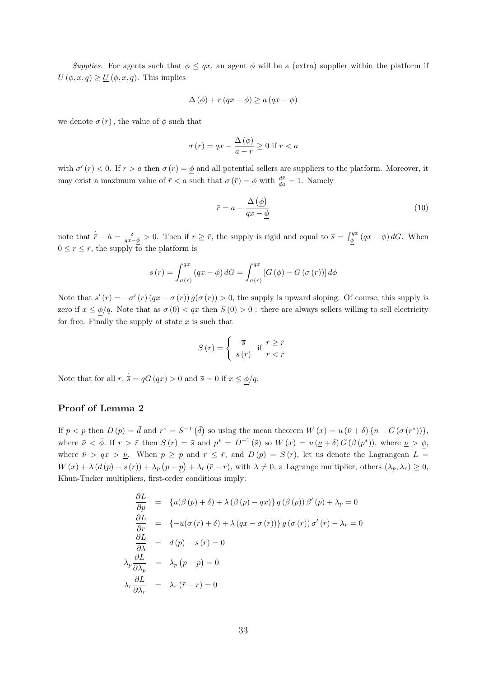Supplies. For agents such that  $\phi \leq qx$ , an agent  $\phi$  will be a (extra) supplier within the platform if  $U(\phi, x, q) \geq U(\phi, x, q)$ . This implies

$$
\Delta(\phi) + r (qx - \phi) \ge a (qx - \phi)
$$

we denote  $\sigma(r)$ , the value of  $\phi$  such that

$$
\sigma(r) = qx - \frac{\Delta(\phi)}{a - r} \ge 0 \text{ if } r < a
$$

with  $\sigma'(r) < 0$ . If  $r > a$  then  $\sigma(r) = \phi$  and all potential sellers are suppliers to the platform. Moreover, it may exist a maximum value of  $\bar{r} < a$  such that  $\sigma(\bar{r}) = \underline{\phi}$  with  $\frac{d\bar{r}}{da} = 1$ . Namely

$$
\bar{r} = a - \frac{\Delta\left(\phi\right)}{qx - \phi} \tag{10}
$$

note that  $\dot{\bar{r}} - \dot{a} = \frac{\delta}{q x - \phi} > 0$ . Then if  $r \geq \bar{r}$ , the supply is rigid and equal to  $\bar{s} = \int_{\phi}^{q x} (qx - \phi) dG$ . When  $0 \leq r \leq \bar{r}$ , the supply to the platform is

$$
s(r) = \int_{\sigma(r)}^{qx} (qx - \phi) dG = \int_{\sigma(r)}^{qx} [G(\phi) - G(\sigma(r))] d\phi
$$

Note that  $s'(r) = -\sigma'(r)(qx - \sigma(r))g(\sigma(r)) > 0$ , the supply is upward sloping. Of course, this supply is zero if  $x \le \phi/q$ . Note that as  $\sigma(0) < qx$  then  $S(0) > 0$ : there are always sellers willing to sell electricity for free. Finally the supply at state  $x$  is such that

$$
S(r) = \begin{cases} \bar{s} & \text{if } r \ge \bar{r} \\ s(r) & r < \bar{r} \end{cases}
$$

Note that for all  $r, \dot{\overline{s}} = qG(qx) > 0$  and  $\overline{s} = 0$  if  $x \le \phi/q$ .

#### Proof of Lemma 2

If  $p < p$  then  $D(p) = \bar{d}$  and  $r^* = S^{-1}(\bar{d})$  so using the mean theorem  $W(x) = u(\bar{\nu} + \delta) \{n - G(\sigma(r^*))\},\$ where  $\bar{\nu} < \bar{\phi}$ . If  $r > \bar{r}$  then  $S(r) = \bar{s}$  and  $p^* = D^{-1}(\bar{s})$  so  $W(x) = u(\underline{\nu} + \delta) G(\beta(p^*))$ , where  $\underline{\nu} > \phi$ , where  $\bar{\nu} > qx > \underline{\nu}$ . When  $p \geq p$  and  $r \leq \bar{r}$ , and  $D(p) = S(r)$ , let us denote the Lagrangean  $L =$  $W(x) + \lambda (d(p) - s(r)) + \lambda_p (p - p) + \lambda_r (\bar{r} - r)$ , with  $\lambda \neq 0$ , a Lagrange multiplier, others  $(\lambda_p, \lambda_r) \geq 0$ , Khun-Tucker multipliers, first-order conditions imply:

$$
\frac{\partial L}{\partial p} = \{u(\beta(p) + \delta) + \lambda(\beta(p) - qx)\} g(\beta(p)) \beta'(p) + \lambda_p = 0
$$
  
\n
$$
\frac{\partial L}{\partial r} = \{-u(\sigma(r) + \delta) + \lambda(qx - \sigma(r))\} g(\sigma(r)) \sigma'(r) - \lambda_r = 0
$$
  
\n
$$
\frac{\partial L}{\partial \lambda} = d(p) - s(r) = 0
$$
  
\n
$$
\lambda_p \frac{\partial L}{\partial \lambda_p} = \lambda_p (p - p) = 0
$$
  
\n
$$
\lambda_r \frac{\partial L}{\partial \lambda_r} = \lambda_r (\bar{r} - r) = 0
$$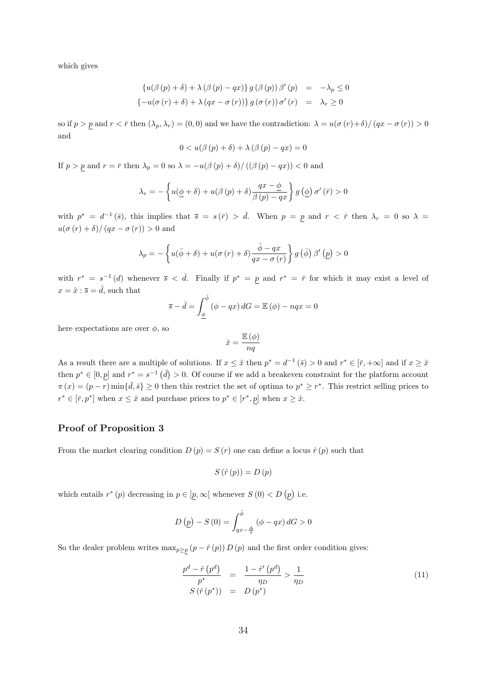which gives

$$
\begin{aligned}\n\left\{u(\beta\left(p\right)+\delta\right)+\lambda\left(\beta\left(p\right)-qx\right)\right\}g\left(\beta\left(p\right)\right)\beta'\left(p\right) &= -\lambda_p \le 0 \\
\left\{-u(\sigma\left(r\right)+\delta\right)+\lambda\left(qx-\sigma\left(r\right)\right)\right\}g\left(\sigma\left(r\right)\right)\sigma'\left(r\right) &= \lambda_r \ge 0\n\end{aligned}
$$

so if  $p > p$  and  $r < \bar{r}$  then  $(\lambda_p, \lambda_r) = (0, 0)$  and we have the contradiction:  $\lambda = u(\sigma(r) + \delta) / (qx - \sigma(r)) > 0$ and

$$
0 < u(\beta(p) + \delta) + \lambda(\beta(p) - qx) = 0
$$

If  $p > p$  and  $r = \bar{r}$  then  $\lambda_p = 0$  so  $\lambda = -u(\beta(p) + \delta)/((\beta(p) - qx)) < 0$  and

$$
\lambda_r = -\left\{ u(\underline{\phi} + \delta) + u(\beta(p) + \delta) \frac{qx - \underline{\phi}}{\beta(p) - qx} \right\} g\left(\underline{\phi}\right) \sigma'\left(\overline{r}\right) > 0
$$

with  $p^* = d^{-1}(\bar{s})$ , this implies that  $\bar{s} = s(\bar{r}) > \bar{d}$ . When  $p = p$  and  $r < \bar{r}$  then  $\lambda_r = 0$  so  $\lambda =$  $u(\sigma(r) + \delta)/(qx - \sigma(r)) > 0$  and

$$
\lambda_p = -\left\{ u(\bar{\phi} + \delta) + u(\sigma(r) + \delta) \frac{\bar{\phi} - qx}{qx - \sigma(r)} \right\} g\left(\bar{\phi}\right) \beta'\left(p\right) > 0
$$

with  $r^* = s^{-1}(d)$  whenever  $\bar{s} < \bar{d}$ . Finally if  $p^* = p$  and  $r^* = \bar{r}$  for which it may exist a level of  $x=\hat{x}:\overline{s}=\bar{d},$  such that

$$
\overline{s} - \overline{d} = \int_{\underline{\phi}}^{\overline{\phi}} (\phi - qx) dG = \mathbb{E}(\phi) - nqx = 0
$$

here expectations are over  $\phi$ , so

$$
\hat{x} = \frac{\mathbb{E}(\phi)}{nq}
$$

As a result there are a multiple of solutions. If  $x \leq \hat{x}$  then  $p^* = d^{-1}(\bar{s}) > 0$  and  $r^* \in [\bar{r}, +\infty]$  and if  $x \geq \hat{x}$ then  $p^* \in [0, p]$  and  $r^* = s^{-1}$   $(\overline{d}) > 0$ . Of course if we add a breakeven constraint for the platform account  $\pi(x) = (p - r) \min\{\bar{d}, \bar{s}\} \ge 0$  then this restrict the set of optima to  $p^* \ge r^*$ . This restrict selling prices to  $r^* \in [\bar{r}, p^*]$  when  $x \leq \hat{x}$  and purchase prices to  $p^* \in [r^*, p]$  when  $x \geq \hat{x}$ .

#### Proof of Proposition 3

From the market clearing condition  $D(p) = S(r)$  one can define a locus  $\hat{r}(p)$  such that

$$
S\left(\hat{r}\left(p\right)\right) = D\left(p\right)
$$

which entails  $r^*(p)$  decreasing in  $p \in [p, \infty)$  whenever  $S(0) < D(p)$  i.e.

$$
D\left(\underline{p}\right) - S\left(0\right) = \int_{qx - \frac{\Delta}{a}}^{\bar{\phi}} \left(\phi - qx\right) dG > 0
$$

So the dealer problem writes  $\max_{p\geq p} (p - \hat{r}(p)) D(p)$  and the first order condition gives:

$$
\frac{p^d - \hat{r}(p^d)}{p^*} = \frac{1 - \hat{r}'(p^d)}{\eta_D} > \frac{1}{\eta_D}
$$
\n
$$
S(\hat{r}(p^*)) = D(p^*)
$$
\n(11)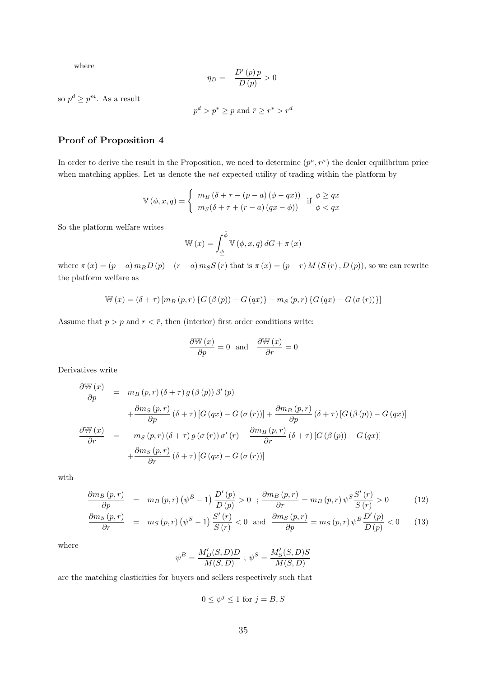where

$$
\eta_D=-\frac{D'\left(p\right)p}{D\left(p\right)}>0
$$

so  $p^d \geq p^m$ . As a result

$$
p^d > p^* \geq p
$$
 and  $\bar{r} \geq r^* > r^d$ 

#### Proof of Proposition 4

In order to derive the result in the Proposition, we need to determine  $(p^{\mu}, r^{\mu})$  the dealer equilibrium price when matching applies. Let us denote the *net* expected utility of trading within the platform by

$$
\mathbb{V}(\phi, x, q) = \begin{cases} m_B(\delta + \tau - (p - a)(\phi - qx)) & \text{if } \phi \ge qx \\ m_S(\delta + \tau + (r - a)(qx - \phi)) & \phi < qx \end{cases}
$$

So the platform welfare writes

$$
\mathbb{W}(x) = \int_{\underline{\phi}}^{\overline{\phi}} \mathbb{V}(\phi, x, q) dG + \pi(x)
$$

where  $\pi(x) = (p - a) m_B D(p) - (r - a) m_S S(p)$  that is  $\pi(x) = (p - r) M(S(r), D(p))$ , so we can rewrite the platform welfare as

$$
\mathbb{W}(x) = (\delta + \tau) [m_B(p, r) \{ G(\beta(p)) - G(qx) \} + m_S(p, r) \{ G(qx) - G(\sigma(r)) \}]
$$

Assume that  $p > p$  and  $r < \bar{r}$ , then (interior) first order conditions write:

$$
\frac{\partial W(x)}{\partial p} = 0 \text{ and } \frac{\partial W(x)}{\partial r} = 0
$$

Derivatives write

$$
\frac{\partial \mathbb{W}(x)}{\partial p} = m_B(p, r) (\delta + \tau) g(\beta(p)) \beta'(p)
$$
  
+ 
$$
\frac{\partial m_S(p, r)}{\partial p} (\delta + \tau) [G(qx) - G(\sigma(r))] + \frac{\partial m_B(p, r)}{\partial p} (\delta + \tau) [G(\beta(p)) - G(qx)]
$$
  

$$
\frac{\partial \mathbb{W}(x)}{\partial r} = -m_S(p, r) (\delta + \tau) g(\sigma(r)) \sigma'(r) + \frac{\partial m_B(p, r)}{\partial r} (\delta + \tau) [G(\beta(p)) - G(qx)]
$$
  
+ 
$$
\frac{\partial m_S(p, r)}{\partial r} (\delta + \tau) [G(qx) - G(\sigma(r))]
$$

with

$$
\frac{\partial m_B(p,r)}{\partial p} = m_B(p,r) \left( \psi^B - 1 \right) \frac{D'(p)}{D(p)} > 0 \quad ; \quad \frac{\partial m_B(p,r)}{\partial r} = m_B(p,r) \psi^S \frac{S'(r)}{S(r)} > 0 \tag{12}
$$

$$
\frac{\partial m_S(p,r)}{\partial r} = m_S(p,r) \left(\psi^S - 1\right) \frac{S'(r)}{S(r)} < 0 \quad \text{and} \quad \frac{\partial m_S(p,r)}{\partial p} = m_S(p,r) \psi^B \frac{D'(p)}{D(p)} < 0 \tag{13}
$$

where

$$
\psi^B=\frac{M_D'(S,D)D}{M(S,D)}\;;\; \psi^S=\frac{M_S'(S,D)S}{M(S,D)}
$$

are the matching elasticities for buyers and sellers respectively such that

$$
0 \le \psi^j \le 1 \text{ for } j = B, S
$$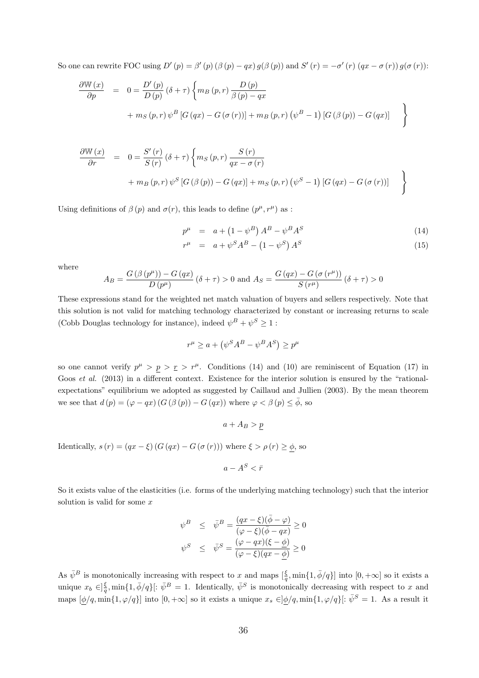So one can rewrite FOC using  $D'(p) = \beta'(p) (\beta(p) - qx) g(\beta(p))$  and  $S'(r) = -\sigma'(r) (qx - \sigma(r)) g(\sigma(r))$ :

$$
\frac{\partial W(x)}{\partial p} = 0 = \frac{D'(p)}{D(p)} (\delta + \tau) \left\{ m_B(p, r) \frac{D(p)}{\beta(p) - qx} + m_S(p, r) \psi^B [G(qx) - G(\sigma(r))] + m_B(p, r) (\psi^B - 1) [G(\beta(p)) - G(qx)] \right\}
$$

$$
\frac{\partial W(x)}{\partial r} = 0 = \frac{S'(r)}{S(r)} (\delta + \tau) \left\{ m_S(p, r) \frac{S(r)}{qx - \sigma(r)} + m_B(p, r) \psi^S [G(\beta(p)) - G(qx)] + m_S(p, r) (\psi^S - 1) [G(qx) - G(\sigma(r))] \right\}
$$

Using definitions of  $\beta(p)$  and  $\sigma(r)$ , this leads to define  $(p^{\mu}, r^{\mu})$  as:

$$
p^{\mu} = a + (1 - \psi^{B}) A^{B} - \psi^{B} A^{S}
$$
 (14)

$$
r^{\mu} = a + \psi^{S} A^{B} - (1 - \psi^{S}) A^{S}
$$
\n
$$
(15)
$$

where

$$
A_B = \frac{G(\beta(p^{\mu})) - G(qx)}{D(p^{\mu})} (\delta + \tau) > 0 \text{ and } A_S = \frac{G(qx) - G(\sigma(r^{\mu}))}{S(r^{\mu})} (\delta + \tau) > 0
$$

These expressions stand for the weighted net match valuation of buyers and sellers respectively. Note that this solution is not valid for matching technology characterized by constant or increasing returns to scale (Cobb Douglas technology for instance), indeed  $\psi^B + \psi^S \geq 1$ :

$$
r^{\mu} \ge a + (\psi^S A^B - \psi^B A^S) \ge p^{\mu}
$$

so one cannot verify  $p^{\mu} > p > r > r^{\mu}$ . Conditions (14) and (10) are reminiscent of Equation (17) in Goos *et al.* (2013) in a different context. Existence for the interior solution is ensured by the "rationalexpectations" equilibrium we adopted as suggested by Caillaud and Jullien (2003). By the mean theorem we see that  $d(p) = (\varphi - qx) (G(\beta(p)) - G(qx))$  where  $\varphi < \beta(p) \le \bar{\phi}$ , so

 $a + A_B > p$ 

Identically,  $s(r) = (qx - \xi) (G (qx) - G (\sigma (r)))$  where  $\xi > \rho (r) \ge \phi$ , so

$$
a - A^S < \bar{r}
$$

So it exists value of the elasticities (i.e. forms of the underlying matching technology) such that the interior solution is valid for some x

$$
\begin{array}{rcl}\n\psi^B & \leq & \bar{\psi}^B = \frac{(qx - \xi)(\bar{\phi} - \varphi)}{(\varphi - \xi)(\bar{\phi} - qx)} \geq 0 \\
\psi^S & \leq & \bar{\psi}^S = \frac{(\varphi - qx)(\xi - \underline{\phi})}{(\varphi - \xi)(qx - \underline{\phi})} \geq 0\n\end{array}
$$

As  $\bar{\psi}^B$  is monotonically increasing with respect to x and maps  $\left[\frac{\xi}{q}, \min\{1, \bar{\phi}/q\}\right]$  into  $[0, +\infty]$  so it exists a unique  $x_b \in \frac{2}{3}$ , min $\{1, \bar{\phi}/q\}$ :  $\bar{\psi}^B = 1$ . Identically,  $\bar{\psi}^S$  is monotonically decreasing with respect to x and maps  $[\phi/q, \min\{1, \varphi/q\}]$  into  $[0, +\infty]$  so it exists a unique  $x_s \in ]\phi/q, \min\{1, \varphi/q\}]$ :  $\bar{\psi}^S = 1$ . As a result it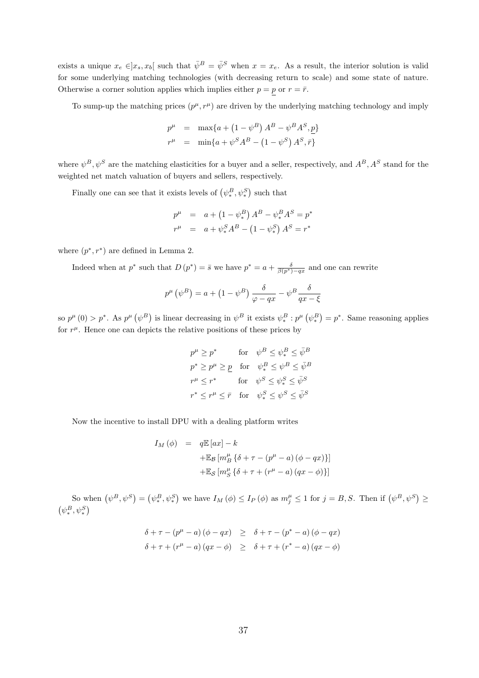exists a unique  $x_e \in ]x_s, x_b[$  such that  $\bar{\psi}^B = \bar{\psi}^S$  when  $x = x_e$ . As a result, the interior solution is valid for some underlying matching technologies (with decreasing return to scale) and some state of nature. Otherwise a corner solution applies which implies either  $p = p$  or  $r = \bar{r}$ .

To sump-up the matching prices  $(p^{\mu}, r^{\mu})$  are driven by the underlying matching technology and imply

$$
p^{\mu} = \max\{a + (1 - \psi^B) A^B - \psi^B A^S, \underline{p}\}\
$$
  

$$
r^{\mu} = \min\{a + \psi^S A^B - (1 - \psi^S) A^S, \overline{r}\}\
$$

where  $\psi^B, \psi^S$  are the matching elasticities for a buyer and a seller, respectively, and  $A^B, A^S$  stand for the weighted net match valuation of buyers and sellers, respectively.

Finally one can see that it exists levels of  $(\psi_*^B, \psi_*^S)$  such that

$$
p^{\mu} = a + (1 - \psi_*^B) A^B - \psi_*^B A^S = p^*
$$
  

$$
r^{\mu} = a + \psi_*^S A^B - (1 - \psi_*^S) A^S = r^*
$$

where  $(p^*, r^*)$  are defined in Lemma 2.

Indeed when at p<sup>\*</sup> such that  $D(p^*) = \bar{s}$  we have  $p^* = a + \frac{\delta}{\beta(p^*)-qx}$  and one can rewrite

$$
p^{\mu}(\psi^{B}) = a + (1 - \psi^{B}) \frac{\delta}{\varphi - qx} - \psi^{B} \frac{\delta}{qx - \xi}
$$

so  $p^{\mu}(0) > p^*$ . As  $p^{\mu}(\psi^B)$  is linear decreasing in  $\psi^B$  it exists  $\psi^B_* : p^{\mu}(\psi^B_*) = p^*$ . Same reasoning applies for  $r^{\mu}$ . Hence one can depicts the relative positions of these prices by

$$
p^{\mu} \ge p^* \quad \text{for} \quad \psi^B \le \psi_*^B \le \bar{\psi}^B
$$
  

$$
p^* \ge p^{\mu} \ge \underline{p} \quad \text{for} \quad \psi_*^B \le \psi^B \le \bar{\psi}^B
$$
  

$$
r^{\mu} \le r^* \quad \text{for} \quad \psi^S \le \psi_*^S \le \bar{\psi}^S
$$
  

$$
r^* \le r^{\mu} \le \bar{r} \quad \text{for} \quad \psi_*^S \le \psi^S \le \bar{\psi}^S
$$

Now the incentive to install DPU with a dealing platform writes

$$
I_M(\phi) = q \mathbb{E} [ax] - k
$$
  
+
$$
\mathbb{E}_\mathcal{B} [m_B^\mu {\delta + \tau - (p^\mu - a) (\phi - qx)}]
$$
  
+
$$
\mathbb{E}_\mathcal{S} [m_S^\mu {\delta + \tau + (r^\mu - a) (qx - \phi)}]
$$

So when  $(\psi^B, \psi^S) = (\psi^B_*, \psi^S_*)$  we have  $I_M(\phi) \leq I_P(\phi)$  as  $m_j^{\mu} \leq 1$  for  $j = B, S$ . Then if  $(\psi^B, \psi^S) \geq$  $(\psi^B_*, \psi^S_*)$ 

$$
\delta + \tau - (p^{\mu} - a) (\phi - qx) \geq \delta + \tau - (p^* - a) (\phi - qx)
$$
  

$$
\delta + \tau + (r^{\mu} - a) (qx - \phi) \geq \delta + \tau + (r^* - a) (qx - \phi)
$$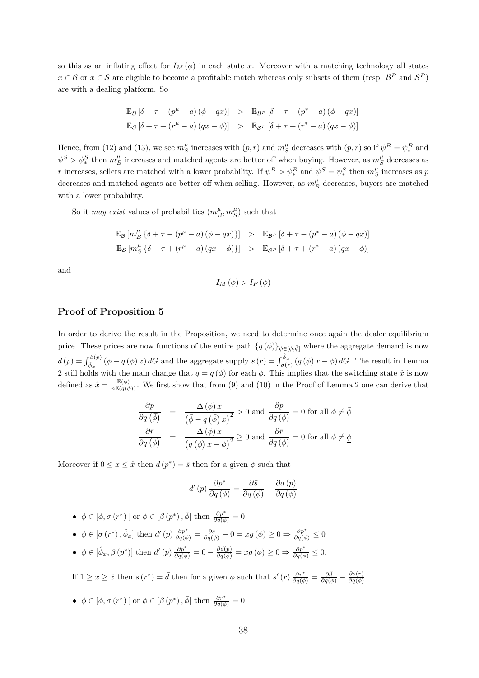so this as an inflating effect for  $I_M(\phi)$  in each state x. Moreover with a matching technology all states  $x \in \mathcal{B}$  or  $x \in \mathcal{S}$  are eligible to become a profitable match whereas only subsets of them (resp.  $\mathcal{B}^P$  and  $\mathcal{S}^P$ ) are with a dealing platform. So

$$
\mathbb{E}_{\mathcal{B}}\left[\delta + \tau - (p^{\mu} - a) (\phi - qx)\right] > \mathbb{E}_{\mathcal{B}^P} \left[\delta + \tau - (p^* - a) (\phi - qx)\right]
$$
  

$$
\mathbb{E}_{\mathcal{S}}\left[\delta + \tau + (r^{\mu} - a) (qx - \phi)\right] > \mathbb{E}_{\mathcal{S}^P} \left[\delta + \tau + (r^* - a) (qx - \phi)\right]
$$

Hence, from (12) and (13), we see  $m_S^{\mu}$  increases with  $(p, r)$  and  $m_S^{\mu}$  decreases with  $(p, r)$  so if  $\psi^B = \psi_*^B$  and  $\psi^S > \psi^S_*$  then  $m_B^{\mu}$  increases and matched agents are better off when buying. However, as  $m_S^{\mu}$  decreases as r increases, sellers are matched with a lower probability. If  $\psi^B > \psi_*^B$  and  $\psi^S = \psi_*^S$  then  $m_S^\mu$  increases as p decreases and matched agents are better off when selling. However, as  $m_B^{\mu}$  decreases, buyers are matched with a lower probability.

So it *may exist* values of probabilities  $(m_B^{\mu}, m_S^{\mu})$  such that

$$
\mathbb{E}_{\mathcal{B}}\left[m_{\mathcal{B}}^{\mu}\left\{\delta+\tau-\left(p^{\mu}-a\right)\left(\phi-qx\right)\right\}\right] > \mathbb{E}_{\mathcal{B}^{P}}\left[\delta+\tau-\left(p^{*}-a\right)\left(\phi-qx\right)\right]
$$
  

$$
\mathbb{E}_{\mathcal{S}}\left[m_{\mathcal{S}}^{\mu}\left\{\delta+\tau+\left(r^{\mu}-a\right)\left(qx-\phi\right)\right\}\right] > \mathbb{E}_{\mathcal{S}^{P}}\left[\delta+\tau+\left(r^{*}-a\right)\left(qx-\phi\right)\right]
$$

and

$$
I_M(\phi) > I_P(\phi)
$$

#### Proof of Proposition 5

In order to derive the result in the Proposition, we need to determine once again the dealer equilibrium price. These prices are now functions of the entire path  $\{q(\phi)\}_{\phi\in[\phi,\bar{\phi}]}$  where the aggregate demand is now  $d(p) = \int_{\hat{\phi}_x}^{\beta(p)} (\phi - q(\phi)x) dG$  and the aggregate supply  $s(r) = \int_{\sigma(r)}^{\hat{\phi}_x} (q(\phi)x - \phi) dG$ . The result in Lemma 2 still holds with the main change that  $q = q(\phi)$  for each  $\phi$ . This implies that the switching state  $\hat{x}$  is now defined as  $\hat{x} = \frac{\mathbb{E}(\phi)}{n\mathbb{E}(q(\phi))}$ . We first show that from (9) and (10) in the Proof of Lemma 2 one can derive that

$$
\frac{\partial p}{\partial q \left(\overline{\phi}\right)} = \frac{\Delta\left(\phi\right)x}{\left(\overline{\phi} - q\left(\overline{\phi}\right)x\right)^2} > 0 \text{ and } \frac{\partial p}{\partial q \left(\phi\right)} = 0 \text{ for all } \phi \neq \overline{\phi}
$$

$$
\frac{\partial \overline{r}}{\partial q \left(\underline{\phi}\right)} = \frac{\Delta\left(\phi\right)x}{\left(q\left(\underline{\phi}\right)x - \underline{\phi}\right)^2} \ge 0 \text{ and } \frac{\partial \overline{r}}{\partial q \left(\phi\right)} = 0 \text{ for all } \phi \neq \underline{\phi}
$$

Moreover if  $0 \leq x \leq \hat{x}$  then  $d(p^*) = \bar{s}$  then for a given  $\phi$  such that

$$
d'(p)\frac{\partial p^*}{\partial q(\phi)} = \frac{\partial \bar{s}}{\partial q(\phi)} - \frac{\partial d(p)}{\partial q(\phi)}
$$

•  $\phi \in [\underline{\phi}, \sigma(r^*)]$  or  $\phi \in [\beta(p^*), \overline{\phi}]$  then  $\frac{\partial p^*}{\partial q(\phi)} = 0$ 

- $\phi \in [\sigma(r^*), \hat{\phi}_x]$  then  $d'(p) \frac{\partial p^*}{\partial q(\phi)} = \frac{\partial \bar{s}}{\partial q(\phi)} 0 = xg(\phi) \geq 0 \Rightarrow \frac{\partial p^*}{\partial q(\phi)} \leq 0$
- $\phi \in [\hat{\phi}_x, \beta(p^*)]$  then  $d'(p) \frac{\partial p^*}{\partial q(\phi)} = 0 \frac{\partial d(p)}{\partial q(\phi)} = xg(\phi) \geq 0 \Rightarrow \frac{\partial p^*}{\partial q(\phi)} \leq 0.$

If  $1 \ge x \ge \hat{x}$  then  $s(r^*) = \bar{d}$  then for a given  $\phi$  such that  $s'(r) \frac{\partial r^*}{\partial q(\phi)} = \frac{\partial \bar{d}}{\partial q(\phi)} - \frac{\partial s(r)}{\partial q(\phi)}$  $\partial q(\phi)$ 

•  $\phi \in [\underline{\phi}, \sigma(r^*)]$  or  $\phi \in [\beta(p^*), \overline{\phi}]$  then  $\frac{\partial r^*}{\partial q(\phi)} = 0$